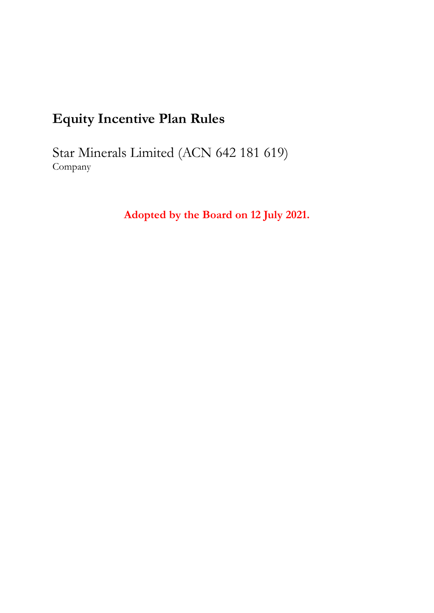# **Equity Incentive Plan Rules**

Star Minerals Limited (ACN 642 181 619) Company

**Adopted by the Board on 12 July 2021.**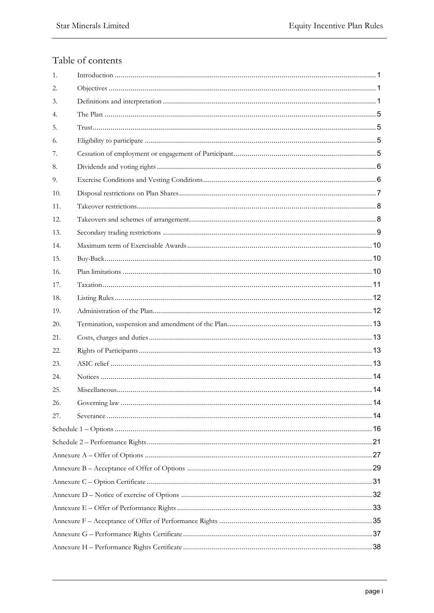# Table of contents

| 1.  |  |
|-----|--|
| 2.  |  |
| 3.  |  |
| 4.  |  |
| 5.  |  |
| 6.  |  |
| 7.  |  |
| 8.  |  |
| 9.  |  |
| 10. |  |
| 11. |  |
| 12. |  |
| 13. |  |
| 14. |  |
| 15. |  |
| 16. |  |
| 17. |  |
| 18. |  |
| 19. |  |
| 20. |  |
| 21. |  |
| 22. |  |
| 23. |  |
| 24. |  |
| 25. |  |
| 26. |  |
| 27. |  |
|     |  |
|     |  |
|     |  |
|     |  |
|     |  |
|     |  |
|     |  |
|     |  |
|     |  |
|     |  |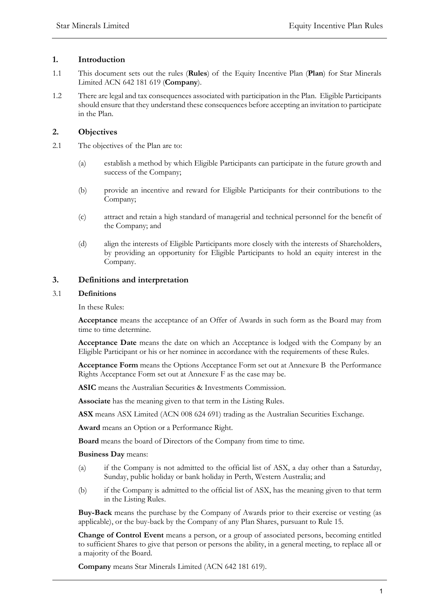# **1. Introduction**

- 1.1 This document sets out the rules (**Rules**) of the Equity Incentive Plan (**Plan**) for Star Minerals Limited ACN 642 181 619 (**Company**).
- 1.2 There are legal and tax consequences associated with participation in the Plan. Eligible Participants should ensure that they understand these consequences before accepting an invitation to participate in the Plan.

# **2. Objectives**

- 2.1 The objectives of the Plan are to:
	- (a) establish a method by which Eligible Participants can participate in the future growth and success of the Company;
	- (b) provide an incentive and reward for Eligible Participants for their contributions to the Company;
	- (c) attract and retain a high standard of managerial and technical personnel for the benefit of the Company; and
	- (d) align the interests of Eligible Participants more closely with the interests of Shareholders, by providing an opportunity for Eligible Participants to hold an equity interest in the Company.

# **3. Definitions and interpretation**

# 3.1 **Definitions**

In these Rules:

**Acceptance** means the acceptance of an Offer of Awards in such form as the Board may from time to time determine.

**Acceptance Date** means the date on which an Acceptance is lodged with the Company by an Eligible Participant or his or her nominee in accordance with the requirements of these Rules.

**Acceptance Form** means the Options Acceptance Form set out at Annexure B the Performance Rights Acceptance Form set out at Annexure F as the case may be.

**ASIC** means the Australian Securities & Investments Commission.

**Associate** has the meaning given to that term in the Listing Rules.

**ASX** means ASX Limited (ACN 008 624 691) trading as the Australian Securities Exchange.

**Award** means an Option or a Performance Right.

**Board** means the board of Directors of the Company from time to time.

**Business Day** means:

- (a) if the Company is not admitted to the official list of ASX, a day other than a Saturday, Sunday, public holiday or bank holiday in Perth, Western Australia; and
- (b) if the Company is admitted to the official list of ASX, has the meaning given to that term in the Listing Rules.

**Buy-Back** means the purchase by the Company of Awards prior to their exercise or vesting (as applicable), or the buy-back by the Company of any Plan Shares, pursuant to Rule 15.

**Change of Control Event** means a person, or a group of associated persons, becoming entitled to sufficient Shares to give that person or persons the ability, in a general meeting, to replace all or a majority of the Board.

**Company** means Star Minerals Limited (ACN 642 181 619).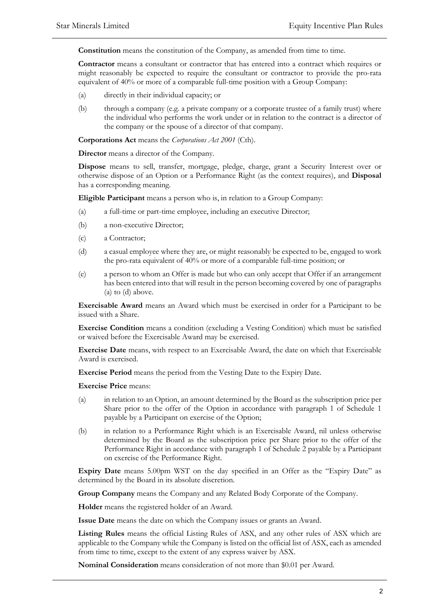**Constitution** means the constitution of the Company, as amended from time to time.

**Contractor** means a consultant or contractor that has entered into a contract which requires or might reasonably be expected to require the consultant or contractor to provide the pro-rata equivalent of 40% or more of a comparable full-time position with a Group Company:

- (a) directly in their individual capacity; or
- (b) through a company (e.g. a private company or a corporate trustee of a family trust) where the individual who performs the work under or in relation to the contract is a director of the company or the spouse of a director of that company.

**Corporations Act** means the *Corporations Act 2001* (Cth).

**Director** means a director of the Company.

**Dispose** means to sell, transfer, mortgage, pledge, charge, grant a Security Interest over or otherwise dispose of an Option or a Performance Right (as the context requires), and **Disposal** has a corresponding meaning.

**Eligible Participant** means a person who is, in relation to a Group Company:

- (a) a full-time or part-time employee, including an executive Director;
- (b) a non-executive Director;
- (c) a Contractor;
- (d) a casual employee where they are, or might reasonably be expected to be, engaged to work the pro-rata equivalent of 40% or more of a comparable full-time position; or
- (e) a person to whom an Offer is made but who can only accept that Offer if an arrangement has been entered into that will result in the person becoming covered by one of paragraphs (a) to (d) above.

**Exercisable Award** means an Award which must be exercised in order for a Participant to be issued with a Share.

**Exercise Condition** means a condition (excluding a Vesting Condition) which must be satisfied or waived before the Exercisable Award may be exercised.

**Exercise Date** means, with respect to an Exercisable Award, the date on which that Exercisable Award is exercised.

**Exercise Period** means the period from the Vesting Date to the Expiry Date.

#### **Exercise Price** means:

- (a) in relation to an Option, an amount determined by the Board as the subscription price per Share prior to the offer of the Option in accordance with paragraph 1 of Schedule 1 payable by a Participant on exercise of the Option;
- (b) in relation to a Performance Right which is an Exercisable Award, nil unless otherwise determined by the Board as the subscription price per Share prior to the offer of the Performance Right in accordance with paragraph 1 of Schedule 2 payable by a Participant on exercise of the Performance Right.

**Expiry Date** means 5.00pm WST on the day specified in an Offer as the "Expiry Date" as determined by the Board in its absolute discretion.

**Group Company** means the Company and any Related Body Corporate of the Company.

**Holder** means the registered holder of an Award.

**Issue Date** means the date on which the Company issues or grants an Award.

**Listing Rules** means the official Listing Rules of ASX, and any other rules of ASX which are applicable to the Company while the Company is listed on the official list of ASX, each as amended from time to time, except to the extent of any express waiver by ASX.

**Nominal Consideration** means consideration of not more than \$0.01 per Award.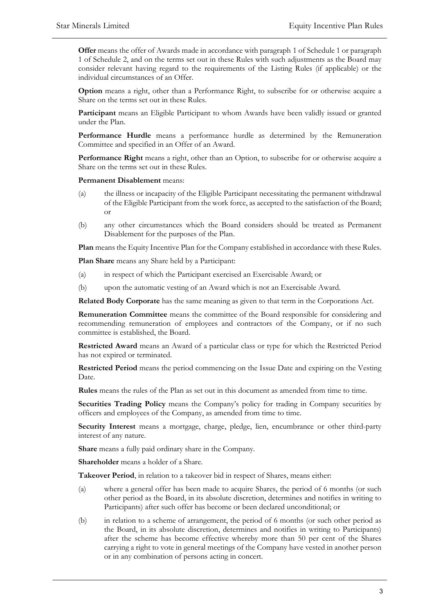**Offer** means the offer of Awards made in accordance with paragraph 1 of Schedule 1 or paragraph 1 of Schedule 2, and on the terms set out in these Rules with such adjustments as the Board may consider relevant having regard to the requirements of the Listing Rules (if applicable) or the individual circumstances of an Offer.

**Option** means a right, other than a Performance Right, to subscribe for or otherwise acquire a Share on the terms set out in these Rules.

**Participant** means an Eligible Participant to whom Awards have been validly issued or granted under the Plan.

**Performance Hurdle** means a performance hurdle as determined by the Remuneration Committee and specified in an Offer of an Award.

**Performance Right** means a right, other than an Option, to subscribe for or otherwise acquire a Share on the terms set out in these Rules.

**Permanent Disablement** means:

- (a) the illness or incapacity of the Eligible Participant necessitating the permanent withdrawal of the Eligible Participant from the work force, as accepted to the satisfaction of the Board; or
- (b) any other circumstances which the Board considers should be treated as Permanent Disablement for the purposes of the Plan.

**Plan** means the Equity Incentive Plan for the Company established in accordance with these Rules.

**Plan Share** means any Share held by a Participant:

- (a) in respect of which the Participant exercised an Exercisable Award; or
- (b) upon the automatic vesting of an Award which is not an Exercisable Award.

**Related Body Corporate** has the same meaning as given to that term in the Corporations Act.

**Remuneration Committee** means the committee of the Board responsible for considering and recommending remuneration of employees and contractors of the Company, or if no such committee is established, the Board.

**Restricted Award** means an Award of a particular class or type for which the Restricted Period has not expired or terminated.

**Restricted Period** means the period commencing on the Issue Date and expiring on the Vesting Date.

**Rules** means the rules of the Plan as set out in this document as amended from time to time.

**Securities Trading Policy** means the Company's policy for trading in Company securities by officers and employees of the Company, as amended from time to time.

**Security Interest** means a mortgage, charge, pledge, lien, encumbrance or other third-party interest of any nature.

**Share** means a fully paid ordinary share in the Company.

**Shareholder** means a holder of a Share.

**Takeover Period**, in relation to a takeover bid in respect of Shares, means either:

- (a) where a general offer has been made to acquire Shares, the period of 6 months (or such other period as the Board, in its absolute discretion, determines and notifies in writing to Participants) after such offer has become or been declared unconditional; or
- (b) in relation to a scheme of arrangement, the period of 6 months (or such other period as the Board, in its absolute discretion, determines and notifies in writing to Participants) after the scheme has become effective whereby more than 50 per cent of the Shares carrying a right to vote in general meetings of the Company have vested in another person or in any combination of persons acting in concert.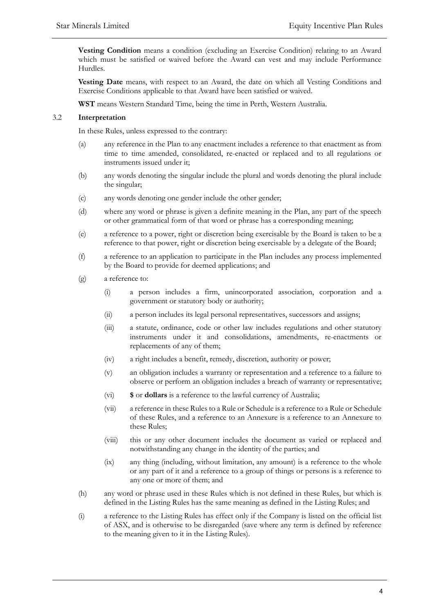**Vesting Condition** means a condition (excluding an Exercise Condition) relating to an Award which must be satisfied or waived before the Award can vest and may include Performance Hurdles.

**Vesting Date** means, with respect to an Award, the date on which all Vesting Conditions and Exercise Conditions applicable to that Award have been satisfied or waived.

**WST** means Western Standard Time, being the time in Perth, Western Australia.

#### 3.2 **Interpretation**

In these Rules, unless expressed to the contrary:

- (a) any reference in the Plan to any enactment includes a reference to that enactment as from time to time amended, consolidated, re-enacted or replaced and to all regulations or instruments issued under it;
- (b) any words denoting the singular include the plural and words denoting the plural include the singular;
- (c) any words denoting one gender include the other gender;
- (d) where any word or phrase is given a definite meaning in the Plan, any part of the speech or other grammatical form of that word or phrase has a corresponding meaning;
- (e) a reference to a power, right or discretion being exercisable by the Board is taken to be a reference to that power, right or discretion being exercisable by a delegate of the Board;
- (f) a reference to an application to participate in the Plan includes any process implemented by the Board to provide for deemed applications; and
- (g) a reference to:
	- (i) a person includes a firm, unincorporated association, corporation and a government or statutory body or authority;
	- (ii) a person includes its legal personal representatives, successors and assigns;
	- (iii) a statute, ordinance, code or other law includes regulations and other statutory instruments under it and consolidations, amendments, re-enactments or replacements of any of them;
	- (iv) a right includes a benefit, remedy, discretion, authority or power;
	- (v) an obligation includes a warranty or representation and a reference to a failure to observe or perform an obligation includes a breach of warranty or representative;
	- (vi) **\$** or **dollars** is a reference to the lawful currency of Australia;
	- (vii) a reference in these Rules to a Rule or Schedule is a reference to a Rule or Schedule of these Rules, and a reference to an Annexure is a reference to an Annexure to these Rules;
	- (viii) this or any other document includes the document as varied or replaced and notwithstanding any change in the identity of the parties; and
	- (ix) any thing (including, without limitation, any amount) is a reference to the whole or any part of it and a reference to a group of things or persons is a reference to any one or more of them; and
- (h) any word or phrase used in these Rules which is not defined in these Rules, but which is defined in the Listing Rules has the same meaning as defined in the Listing Rules; and
- (i) a reference to the Listing Rules has effect only if the Company is listed on the official list of ASX, and is otherwise to be disregarded (save where any term is defined by reference to the meaning given to it in the Listing Rules).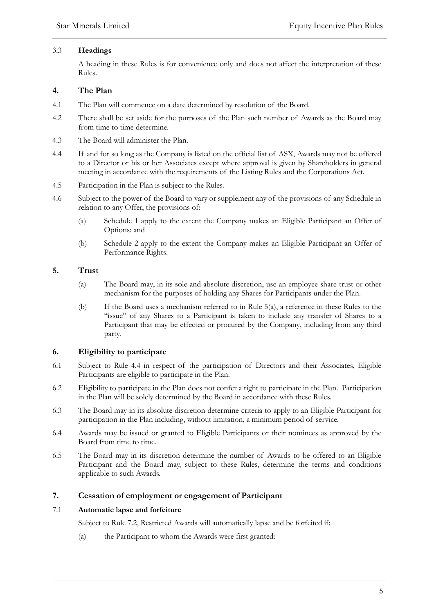### 3.3 **Headings**

A heading in these Rules is for convenience only and does not affect the interpretation of these Rules.

# **4. The Plan**

- 4.1 The Plan will commence on a date determined by resolution of the Board.
- 4.2 There shall be set aside for the purposes of the Plan such number of Awards as the Board may from time to time determine.
- 4.3 The Board will administer the Plan.
- 4.4 If and for so long as the Company is listed on the official list of ASX, Awards may not be offered to a Director or his or her Associates except where approval is given by Shareholders in general meeting in accordance with the requirements of the Listing Rules and the Corporations Act.
- 4.5 Participation in the Plan is subject to the Rules.
- 4.6 Subject to the power of the Board to vary or supplement any of the provisions of any Schedule in relation to any Offer, the provisions of:
	- (a) Schedule 1 apply to the extent the Company makes an Eligible Participant an Offer of Options; and
	- (b) Schedule 2 apply to the extent the Company makes an Eligible Participant an Offer of Performance Rights.

# **5. Trust**

- (a) The Board may, in its sole and absolute discretion, use an employee share trust or other mechanism for the purposes of holding any Shares for Participants under the Plan.
- (b) If the Board uses a mechanism referred to in Rule 5(a), a reference in these Rules to the "issue" of any Shares to a Participant is taken to include any transfer of Shares to a Participant that may be effected or procured by the Company, including from any third party.

# **6. Eligibility to participate**

- 6.1 Subject to Rule 4.4 in respect of the participation of Directors and their Associates, Eligible Participants are eligible to participate in the Plan.
- 6.2 Eligibility to participate in the Plan does not confer a right to participate in the Plan. Participation in the Plan will be solely determined by the Board in accordance with these Rules.
- 6.3 The Board may in its absolute discretion determine criteria to apply to an Eligible Participant for participation in the Plan including, without limitation, a minimum period of service.
- 6.4 Awards may be issued or granted to Eligible Participants or their nominees as approved by the Board from time to time.
- 6.5 The Board may in its discretion determine the number of Awards to be offered to an Eligible Participant and the Board may, subject to these Rules, determine the terms and conditions applicable to such Awards.

# **7. Cessation of employment or engagement of Participant**

# 7.1 **Automatic lapse and forfeiture**

Subject to Rule 7.2, Restricted Awards will automatically lapse and be forfeited if:

(a) the Participant to whom the Awards were first granted: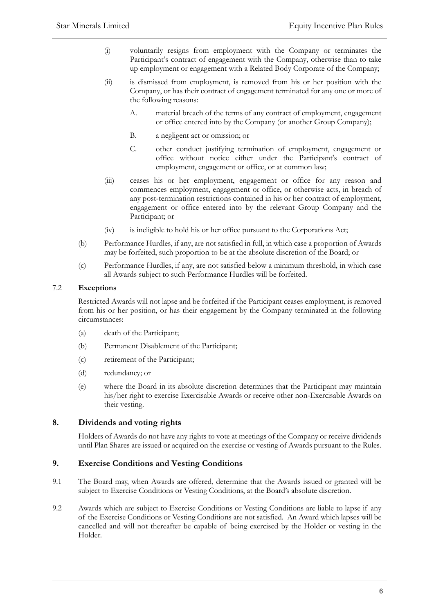- (i) voluntarily resigns from employment with the Company or terminates the Participant's contract of engagement with the Company, otherwise than to take up employment or engagement with a Related Body Corporate of the Company;
- (ii) is dismissed from employment, is removed from his or her position with the Company, or has their contract of engagement terminated for any one or more of the following reasons:
	- A. material breach of the terms of any contract of employment, engagement or office entered into by the Company (or another Group Company);
	- B. a negligent act or omission; or
	- C. other conduct justifying termination of employment, engagement or office without notice either under the Participant's contract of employment, engagement or office, or at common law;
- (iii) ceases his or her employment, engagement or office for any reason and commences employment, engagement or office, or otherwise acts, in breach of any post-termination restrictions contained in his or her contract of employment, engagement or office entered into by the relevant Group Company and the Participant; or
- (iv) is ineligible to hold his or her office pursuant to the Corporations Act;
- (b) Performance Hurdles, if any, are not satisfied in full, in which case a proportion of Awards may be forfeited, such proportion to be at the absolute discretion of the Board; or
- (c) Performance Hurdles, if any, are not satisfied below a minimum threshold, in which case all Awards subject to such Performance Hurdles will be forfeited.

### 7.2 **Exceptions**

Restricted Awards will not lapse and be forfeited if the Participant ceases employment, is removed from his or her position, or has their engagement by the Company terminated in the following circumstances:

- (a) death of the Participant;
- (b) Permanent Disablement of the Participant;
- (c) retirement of the Participant;
- (d) redundancy; or
- (e) where the Board in its absolute discretion determines that the Participant may maintain his/her right to exercise Exercisable Awards or receive other non-Exercisable Awards on their vesting.

# **8. Dividends and voting rights**

Holders of Awards do not have any rights to vote at meetings of the Company or receive dividends until Plan Shares are issued or acquired on the exercise or vesting of Awards pursuant to the Rules.

### **9. Exercise Conditions and Vesting Conditions**

- 9.1 The Board may, when Awards are offered, determine that the Awards issued or granted will be subject to Exercise Conditions or Vesting Conditions, at the Board's absolute discretion.
- 9.2 Awards which are subject to Exercise Conditions or Vesting Conditions are liable to lapse if any of the Exercise Conditions or Vesting Conditions are not satisfied. An Award which lapses will be cancelled and will not thereafter be capable of being exercised by the Holder or vesting in the Holder.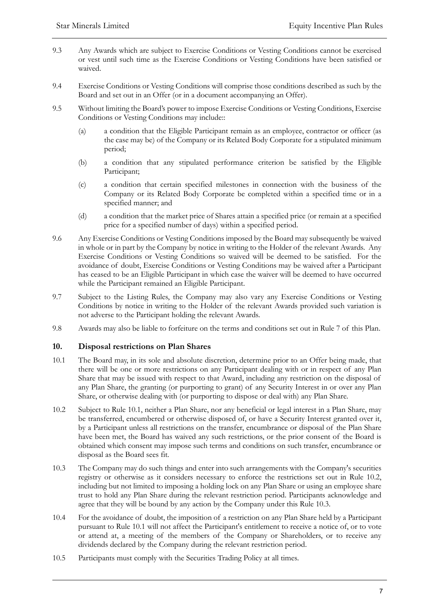- 9.3 Any Awards which are subject to Exercise Conditions or Vesting Conditions cannot be exercised or vest until such time as the Exercise Conditions or Vesting Conditions have been satisfied or waived.
- 9.4 Exercise Conditions or Vesting Conditions will comprise those conditions described as such by the Board and set out in an Offer (or in a document accompanying an Offer).
- 9.5 Without limiting the Board's power to impose Exercise Conditions or Vesting Conditions, Exercise Conditions or Vesting Conditions may include::
	- (a) a condition that the Eligible Participant remain as an employee, contractor or officer (as the case may be) of the Company or its Related Body Corporate for a stipulated minimum period;
	- (b) a condition that any stipulated performance criterion be satisfied by the Eligible Participant;
	- (c) a condition that certain specified milestones in connection with the business of the Company or its Related Body Corporate be completed within a specified time or in a specified manner; and
	- (d) a condition that the market price of Shares attain a specified price (or remain at a specified price for a specified number of days) within a specified period.
- 9.6 Any Exercise Conditions or Vesting Conditions imposed by the Board may subsequently be waived in whole or in part by the Company by notice in writing to the Holder of the relevant Awards. Any Exercise Conditions or Vesting Conditions so waived will be deemed to be satisfied. For the avoidance of doubt, Exercise Conditions or Vesting Conditions may be waived after a Participant has ceased to be an Eligible Participant in which case the waiver will be deemed to have occurred while the Participant remained an Eligible Participant.
- 9.7 Subject to the Listing Rules, the Company may also vary any Exercise Conditions or Vesting Conditions by notice in writing to the Holder of the relevant Awards provided such variation is not adverse to the Participant holding the relevant Awards.
- 9.8 Awards may also be liable to forfeiture on the terms and conditions set out in Rule 7 of this Plan.

# **10. Disposal restrictions on Plan Shares**

- 10.1 The Board may, in its sole and absolute discretion, determine prior to an Offer being made, that there will be one or more restrictions on any Participant dealing with or in respect of any Plan Share that may be issued with respect to that Award, including any restriction on the disposal of any Plan Share, the granting (or purporting to grant) of any Security Interest in or over any Plan Share, or otherwise dealing with (or purporting to dispose or deal with) any Plan Share.
- 10.2 Subject to Rule 10.1, neither a Plan Share, nor any beneficial or legal interest in a Plan Share, may be transferred, encumbered or otherwise disposed of, or have a Security Interest granted over it, by a Participant unless all restrictions on the transfer, encumbrance or disposal of the Plan Share have been met, the Board has waived any such restrictions, or the prior consent of the Board is obtained which consent may impose such terms and conditions on such transfer, encumbrance or disposal as the Board sees fit.
- 10.3 The Company may do such things and enter into such arrangements with the Company's securities registry or otherwise as it considers necessary to enforce the restrictions set out in Rule 10.2, including but not limited to imposing a holding lock on any Plan Share or using an employee share trust to hold any Plan Share during the relevant restriction period. Participants acknowledge and agree that they will be bound by any action by the Company under this Rule 10.3.
- 10.4 For the avoidance of doubt, the imposition of a restriction on any Plan Share held by a Participant pursuant to Rule 10.1 will not affect the Participant's entitlement to receive a notice of, or to vote or attend at, a meeting of the members of the Company or Shareholders, or to receive any dividends declared by the Company during the relevant restriction period.
- 10.5 Participants must comply with the Securities Trading Policy at all times.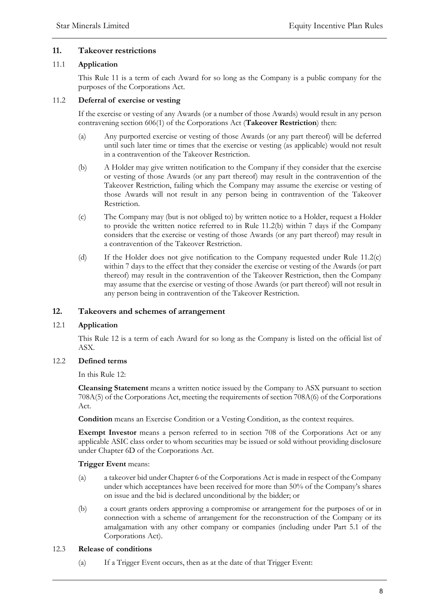# **11. Takeover restrictions**

#### 11.1 **Application**

This Rule 11 is a term of each Award for so long as the Company is a public company for the purposes of the Corporations Act.

#### 11.2 **Deferral of exercise or vesting**

If the exercise or vesting of any Awards (or a number of those Awards) would result in any person contravening section 606(1) of the Corporations Act (**Takeover Restriction**) then:

- (a) Any purported exercise or vesting of those Awards (or any part thereof) will be deferred until such later time or times that the exercise or vesting (as applicable) would not result in a contravention of the Takeover Restriction.
- (b) A Holder may give written notification to the Company if they consider that the exercise or vesting of those Awards (or any part thereof) may result in the contravention of the Takeover Restriction, failing which the Company may assume the exercise or vesting of those Awards will not result in any person being in contravention of the Takeover Restriction.
- (c) The Company may (but is not obliged to) by written notice to a Holder, request a Holder to provide the written notice referred to in Rule 11.2(b) within 7 days if the Company considers that the exercise or vesting of those Awards (or any part thereof) may result in a contravention of the Takeover Restriction.
- (d) If the Holder does not give notification to the Company requested under Rule 11.2(c) within 7 days to the effect that they consider the exercise or vesting of the Awards (or part thereof) may result in the contravention of the Takeover Restriction, then the Company may assume that the exercise or vesting of those Awards (or part thereof) will not result in any person being in contravention of the Takeover Restriction.

### **12. Takeovers and schemes of arrangement**

### 12.1 **Application**

This Rule 12 is a term of each Award for so long as the Company is listed on the official list of ASX.

### 12.2 **Defined terms**

In this Rule 12:

**Cleansing Statement** means a written notice issued by the Company to ASX pursuant to section 708A(5) of the Corporations Act, meeting the requirements of section 708A(6) of the Corporations Act.

**Condition** means an Exercise Condition or a Vesting Condition, as the context requires.

**Exempt Investor** means a person referred to in section 708 of the Corporations Act or any applicable ASIC class order to whom securities may be issued or sold without providing disclosure under Chapter 6D of the Corporations Act.

#### **Trigger Event** means:

- (a) a takeover bid under Chapter 6 of the Corporations Act is made in respect of the Company under which acceptances have been received for more than 50% of the Company's shares on issue and the bid is declared unconditional by the bidder; or
- (b) a court grants orders approving a compromise or arrangement for the purposes of or in connection with a scheme of arrangement for the reconstruction of the Company or its amalgamation with any other company or companies (including under Part 5.1 of the Corporations Act).

#### 12.3 **Release of conditions**

(a) If a Trigger Event occurs, then as at the date of that Trigger Event: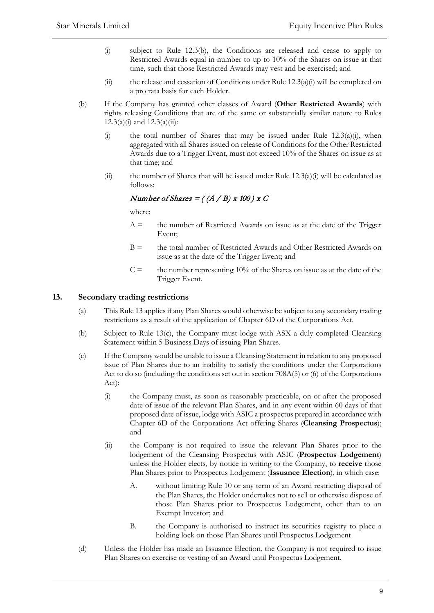- (i) subject to Rule 12.3(b), the Conditions are released and cease to apply to Restricted Awards equal in number to up to 10% of the Shares on issue at that time, such that those Restricted Awards may vest and be exercised; and
- (ii) the release and cessation of Conditions under Rule  $12.3(a)(i)$  will be completed on a pro rata basis for each Holder.
- (b) If the Company has granted other classes of Award (**Other Restricted Awards**) with rights releasing Conditions that are of the same or substantially similar nature to Rules  $12.3(a)(i)$  and  $12.3(a)(ii)$ :
	- (i) the total number of Shares that may be issued under Rule  $12.3(a)(i)$ , when aggregated with all Shares issued on release of Conditions for the Other Restricted Awards due to a Trigger Event, must not exceed 10% of the Shares on issue as at that time; and
	- (ii) the number of Shares that will be issued under Rule  $12.3(a)(i)$  will be calculated as follows:

# Number of Shares  $=$  ( $(A/B)$  x 100) x C

where:

- $A =$  the number of Restricted Awards on issue as at the date of the Trigger Event;
- $B =$  the total number of Restricted Awards and Other Restricted Awards on issue as at the date of the Trigger Event; and
- $C =$  the number representing 10% of the Shares on issue as at the date of the Trigger Event.

# **13. Secondary trading restrictions**

- (a) This Rule 13 applies if any Plan Shares would otherwise be subject to any secondary trading restrictions as a result of the application of Chapter 6D of the Corporations Act.
- (b) Subject to Rule 13(c), the Company must lodge with ASX a duly completed Cleansing Statement within 5 Business Days of issuing Plan Shares.
- (c) If the Company would be unable to issue a Cleansing Statement in relation to any proposed issue of Plan Shares due to an inability to satisfy the conditions under the Corporations Act to do so (including the conditions set out in section 708A(5) or (6) of the Corporations Act):
	- (i) the Company must, as soon as reasonably practicable, on or after the proposed date of issue of the relevant Plan Shares, and in any event within 60 days of that proposed date of issue, lodge with ASIC a prospectus prepared in accordance with Chapter 6D of the Corporations Act offering Shares (**Cleansing Prospectus**); and
	- (ii) the Company is not required to issue the relevant Plan Shares prior to the lodgement of the Cleansing Prospectus with ASIC (**Prospectus Lodgement**) unless the Holder elects, by notice in writing to the Company, to **receive** those Plan Shares prior to Prospectus Lodgement (**Issuance Election**), in which case:
		- A. without limiting Rule 10 or any term of an Award restricting disposal of the Plan Shares, the Holder undertakes not to sell or otherwise dispose of those Plan Shares prior to Prospectus Lodgement, other than to an Exempt Investor; and
		- B. the Company is authorised to instruct its securities registry to place a holding lock on those Plan Shares until Prospectus Lodgement
- (d) Unless the Holder has made an Issuance Election, the Company is not required to issue Plan Shares on exercise or vesting of an Award until Prospectus Lodgement.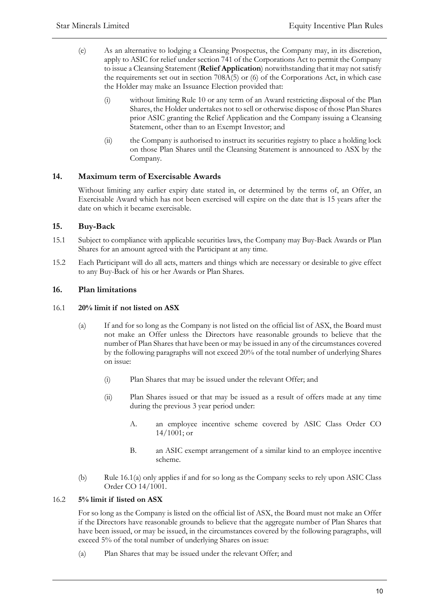- (e) As an alternative to lodging a Cleansing Prospectus, the Company may, in its discretion, apply to ASIC for relief under section 741 of the Corporations Act to permit the Company to issue a Cleansing Statement (**Relief Application**) notwithstanding that it may notsatisfy the requirements set out in section 708A(5) or (6) of the Corporations Act, in which case the Holder may make an Issuance Election provided that:
	- (i) without limiting Rule 10 or any term of an Award restricting disposal of the Plan Shares, the Holder undertakes not to sell or otherwise dispose of those Plan Shares prior ASIC granting the Relief Application and the Company issuing a Cleansing Statement, other than to an Exempt Investor; and
	- (ii) the Company is authorised to instruct its securities registry to place a holding lock on those Plan Shares until the Cleansing Statement is announced to ASX by the Company.

# **14. Maximum term of Exercisable Awards**

Without limiting any earlier expiry date stated in, or determined by the terms of, an Offer, an Exercisable Award which has not been exercised will expire on the date that is 15 years after the date on which it became exercisable.

# **15. Buy-Back**

- 15.1 Subject to compliance with applicable securities laws, the Company may Buy-Back Awards or Plan Shares for an amount agreed with the Participant at any time.
- 15.2 Each Participant will do all acts, matters and things which are necessary or desirable to give effect to any Buy-Back of his or her Awards or Plan Shares.

# **16. Plan limitations**

# 16.1 **20% limit if not listed on ASX**

- (a) If and for so long as the Company is not listed on the official list of ASX, the Board must not make an Offer unless the Directors have reasonable grounds to believe that the number of Plan Shares that have been or may be issued in any of the circumstances covered by the following paragraphs will not exceed 20% of the total number of underlying Shares on issue:
	- (i) Plan Shares that may be issued under the relevant Offer; and
	- (ii) Plan Shares issued or that may be issued as a result of offers made at any time during the previous 3 year period under:
		- A. an employee incentive scheme covered by ASIC Class Order CO 14/1001; or
		- B. an ASIC exempt arrangement of a similar kind to an employee incentive scheme.
- (b) Rule 16.1(a) only applies if and for so long as the Company seeks to rely upon ASIC Class Order CO 14/1001.

### 16.2 **5% limit if listed on ASX**

For so long as the Company is listed on the official list of ASX, the Board must not make an Offer if the Directors have reasonable grounds to believe that the aggregate number of Plan Shares that have been issued, or may be issued, in the circumstances covered by the following paragraphs, will exceed 5% of the total number of underlying Shares on issue:

(a) Plan Shares that may be issued under the relevant Offer; and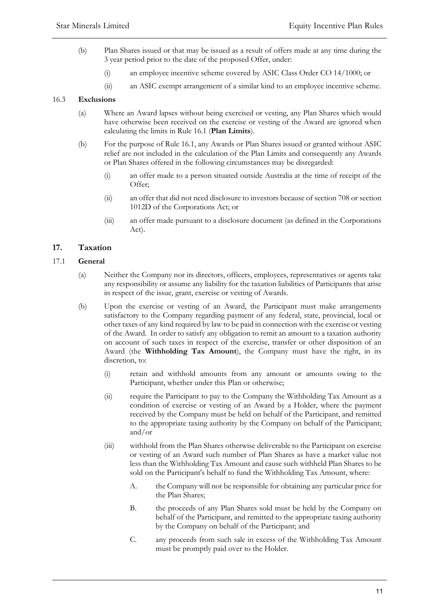- (b) Plan Shares issued or that may be issued as a result of offers made at any time during the 3 year period prior to the date of the proposed Offer, under:
	- (i) an employee incentive scheme covered by ASIC Class Order CO 14/1000; or
	- (ii) an ASIC exempt arrangement of a similar kind to an employee incentive scheme.

# 16.3 **Exclusions**

- (a) Where an Award lapses without being exercised or vesting, any Plan Shares which would have otherwise been received on the exercise or vesting of the Award are ignored when calculating the limits in Rule 16.1 (**Plan Limits**).
- (b) For the purpose of Rule 16.1, any Awards or Plan Shares issued or granted without ASIC relief are not included in the calculation of the Plan Limits and consequently any Awards or Plan Shares offered in the following circumstances may be disregarded:
	- (i) an offer made to a person situated outside Australia at the time of receipt of the Offer;
	- (ii) an offer that did not need disclosure to investors because of section 708 or section 1012D of the Corporations Act; or
	- (iii) an offer made pursuant to a disclosure document (as defined in the Corporations Act).

# **17. Taxation**

# 17.1 **General**

- (a) Neither the Company nor its directors, officers, employees, representatives or agents take any responsibility or assume any liability for the taxation liabilities of Participants that arise in respect of the issue, grant, exercise or vesting of Awards.
- (b) Upon the exercise or vesting of an Award, the Participant must make arrangements satisfactory to the Company regarding payment of any federal, state, provincial, local or other taxes of any kind required by law to be paid in connection with the exercise or vesting of the Award. In order to satisfy any obligation to remit an amount to a taxation authority on account of such taxes in respect of the exercise, transfer or other disposition of an Award (the **Withholding Tax Amount**), the Company must have the right, in its discretion, to:
	- (i) retain and withhold amounts from any amount or amounts owing to the Participant, whether under this Plan or otherwise;
	- (ii) require the Participant to pay to the Company the Withholding Tax Amount as a condition of exercise or vesting of an Award by a Holder, where the payment received by the Company must be held on behalf of the Participant, and remitted to the appropriate taxing authority by the Company on behalf of the Participant; and/or
	- (iii) withhold from the Plan Shares otherwise deliverable to the Participant on exercise or vesting of an Award such number of Plan Shares as have a market value not less than the Withholding Tax Amount and cause such withheld Plan Shares to be sold on the Participant's behalf to fund the Withholding Tax Amount, where:
		- A. the Company will not be responsible for obtaining any particular price for the Plan Shares;
		- B. the proceeds of any Plan Shares sold must be held by the Company on behalf of the Participant, and remitted to the appropriate taxing authority by the Company on behalf of the Participant; and
		- C. any proceeds from such sale in excess of the Withholding Tax Amount must be promptly paid over to the Holder.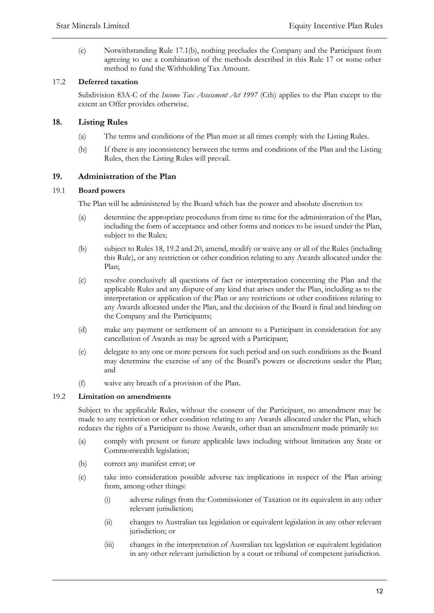(c) Notwithstanding Rule 17.1(b), nothing precludes the Company and the Participant from agreeing to use a combination of the methods described in this Rule 17 or some other method to fund the Withholding Tax Amount.

# 17.2 **Deferred taxation**

Subdivision 83A-C of the *Income Tax Assessment Act 1997* (Cth) applies to the Plan except to the extent an Offer provides otherwise.

# **18. Listing Rules**

- (a) The terms and conditions of the Plan must at all times comply with the Listing Rules.
- (b) If there is any inconsistency between the terms and conditions of the Plan and the Listing Rules, then the Listing Rules will prevail.

# **19. Administration of the Plan**

### 19.1 **Board powers**

The Plan will be administered by the Board which has the power and absolute discretion to:

- (a) determine the appropriate procedures from time to time for the administration of the Plan, including the form of acceptance and other forms and notices to be issued under the Plan, subject to the Rules;
- (b) subject to Rules 18, 19.2 and 20, amend, modify or waive any or all of the Rules (including this Rule), or any restriction or other condition relating to any Awards allocated under the Plan;
- (c) resolve conclusively all questions of fact or interpretation concerning the Plan and the applicable Rules and any dispute of any kind that arises under the Plan, including as to the interpretation or application of the Plan or any restrictions or other conditions relating to any Awards allocated under the Plan, and the decision of the Board is final and binding on the Company and the Participants;
- (d) make any payment or settlement of an amount to a Participant in consideration for any cancellation of Awards as may be agreed with a Participant;
- (e) delegate to any one or more persons for such period and on such conditions as the Board may determine the exercise of any of the Board's powers or discretions under the Plan; and
- (f) waive any breach of a provision of the Plan.

### 19.2 **Limitation on amendments**

Subject to the applicable Rules, without the consent of the Participant, no amendment may be made to any restriction or other condition relating to any Awards allocated under the Plan, which reduces the rights of a Participant to those Awards, other than an amendment made primarily to:

- (a) comply with present or future applicable laws including without limitation any State or Commonwealth legislation;
- (b) correct any manifest error; or
- (c) take into consideration possible adverse tax implications in respect of the Plan arising from, among other things:
	- (i) adverse rulings from the Commissioner of Taxation or its equivalent in any other relevant jurisdiction;
	- (ii) changes to Australian tax legislation or equivalent legislation in any other relevant jurisdiction; or
	- (iii) changes in the interpretation of Australian tax legislation or equivalent legislation in any other relevant jurisdiction by a court or tribunal of competent jurisdiction.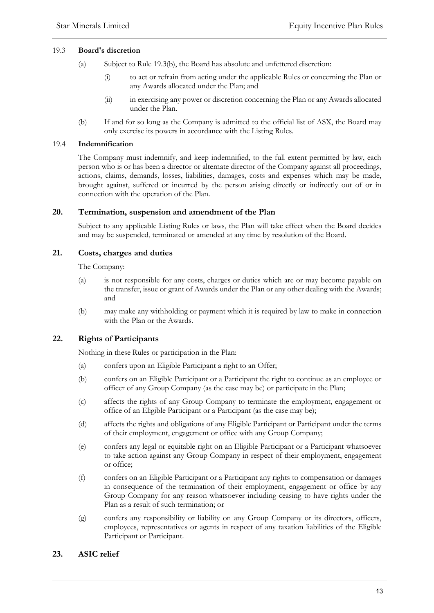### 19.3 **Board's discretion**

- (a) Subject to Rule 19.3(b), the Board has absolute and unfettered discretion:
	- (i) to act or refrain from acting under the applicable Rules or concerning the Plan or any Awards allocated under the Plan; and
	- (ii) in exercising any power or discretion concerning the Plan or any Awards allocated under the Plan.
- (b) If and for so long as the Company is admitted to the official list of ASX, the Board may only exercise its powers in accordance with the Listing Rules.

### 19.4 **Indemnification**

The Company must indemnify, and keep indemnified, to the full extent permitted by law, each person who is or has been a director or alternate director of the Company against all proceedings, actions, claims, demands, losses, liabilities, damages, costs and expenses which may be made, brought against, suffered or incurred by the person arising directly or indirectly out of or in connection with the operation of the Plan.

# **20. Termination, suspension and amendment of the Plan**

Subject to any applicable Listing Rules or laws, the Plan will take effect when the Board decides and may be suspended, terminated or amended at any time by resolution of the Board.

# **21. Costs, charges and duties**

The Company:

- (a) is not responsible for any costs, charges or duties which are or may become payable on the transfer, issue or grant of Awards under the Plan or any other dealing with the Awards; and
- (b) may make any withholding or payment which it is required by law to make in connection with the Plan or the Awards.

# **22. Rights of Participants**

Nothing in these Rules or participation in the Plan:

- (a) confers upon an Eligible Participant a right to an Offer;
- (b) confers on an Eligible Participant or a Participant the right to continue as an employee or officer of any Group Company (as the case may be) or participate in the Plan;
- (c) affects the rights of any Group Company to terminate the employment, engagement or office of an Eligible Participant or a Participant (as the case may be);
- (d) affects the rights and obligations of any Eligible Participant or Participant under the terms of their employment, engagement or office with any Group Company;
- (e) confers any legal or equitable right on an Eligible Participant or a Participant whatsoever to take action against any Group Company in respect of their employment, engagement or office;
- (f) confers on an Eligible Participant or a Participant any rights to compensation or damages in consequence of the termination of their employment, engagement or office by any Group Company for any reason whatsoever including ceasing to have rights under the Plan as a result of such termination; or
- (g) confers any responsibility or liability on any Group Company or its directors, officers, employees, representatives or agents in respect of any taxation liabilities of the Eligible Participant or Participant.

# **23. ASIC relief**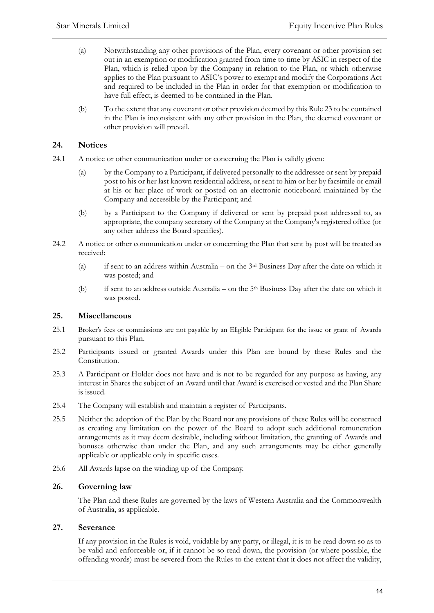- (a) Notwithstanding any other provisions of the Plan, every covenant or other provision set out in an exemption or modification granted from time to time by ASIC in respect of the Plan, which is relied upon by the Company in relation to the Plan, or which otherwise applies to the Plan pursuant to ASIC's power to exempt and modify the Corporations Act and required to be included in the Plan in order for that exemption or modification to have full effect, is deemed to be contained in the Plan.
- (b) To the extent that any covenant or other provision deemed by this Rule 23 to be contained in the Plan is inconsistent with any other provision in the Plan, the deemed covenant or other provision will prevail.

# **24. Notices**

- 24.1 A notice or other communication under or concerning the Plan is validly given:
	- (a) by the Company to a Participant, if delivered personally to the addressee or sent by prepaid post to his or her last known residential address, or sent to him or her by facsimile or email at his or her place of work or posted on an electronic noticeboard maintained by the Company and accessible by the Participant; and
	- (b) by a Participant to the Company if delivered or sent by prepaid post addressed to, as appropriate, the company secretary of the Company at the Company's registered office (or any other address the Board specifies).
- 24.2 A notice or other communication under or concerning the Plan that sent by post will be treated as received:
	- (a) if sent to an address within Australia on the 3rd Business Day after the date on which it was posted; and
	- (b) if sent to an address outside Australia on the 5th Business Day after the date on which it was posted.

# **25. Miscellaneous**

- 25.1 Broker's fees or commissions are not payable by an Eligible Participant for the issue or grant of Awards pursuant to this Plan.
- 25.2 Participants issued or granted Awards under this Plan are bound by these Rules and the Constitution.
- 25.3 A Participant or Holder does not have and is not to be regarded for any purpose as having, any interest in Shares the subject of an Award until that Award is exercised or vested and the Plan Share is issued.
- 25.4 The Company will establish and maintain a register of Participants.
- 25.5 Neither the adoption of the Plan by the Board nor any provisions of these Rules will be construed as creating any limitation on the power of the Board to adopt such additional remuneration arrangements as it may deem desirable, including without limitation, the granting of Awards and bonuses otherwise than under the Plan, and any such arrangements may be either generally applicable or applicable only in specific cases.
- 25.6 All Awards lapse on the winding up of the Company.

### **26. Governing law**

The Plan and these Rules are governed by the laws of Western Australia and the Commonwealth of Australia, as applicable.

### **27. Severance**

If any provision in the Rules is void, voidable by any party, or illegal, it is to be read down so as to be valid and enforceable or, if it cannot be so read down, the provision (or where possible, the offending words) must be severed from the Rules to the extent that it does not affect the validity,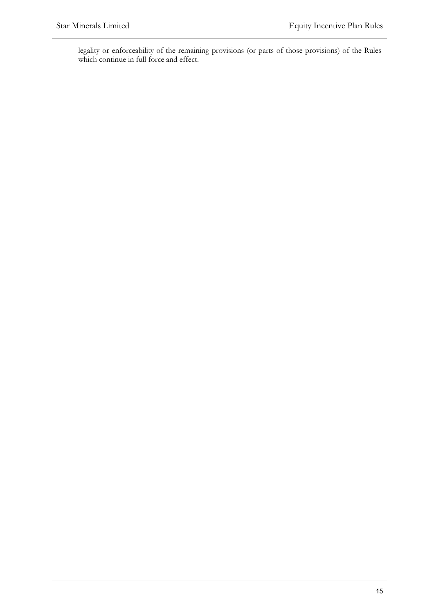legality or enforceability of the remaining provisions (or parts of those provisions) of the Rules which continue in full force and effect.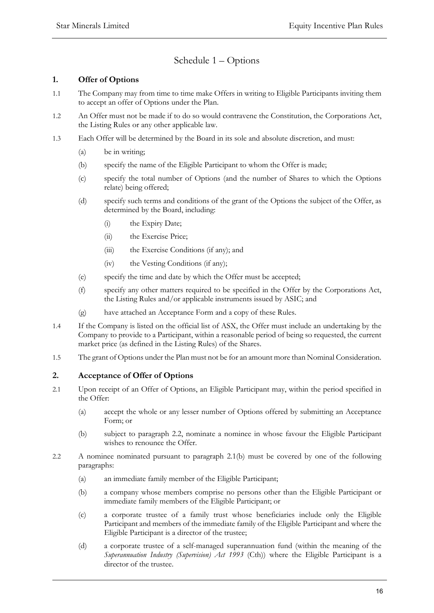# Schedule 1 – Options

# **1. Offer of Options**

- 1.1 The Company may from time to time make Offers in writing to Eligible Participants inviting them to accept an offer of Options under the Plan.
- 1.2 An Offer must not be made if to do so would contravene the Constitution, the Corporations Act, the Listing Rules or any other applicable law.
- 1.3 Each Offer will be determined by the Board in its sole and absolute discretion, and must:
	- (a) be in writing;
	- (b) specify the name of the Eligible Participant to whom the Offer is made;
	- (c) specify the total number of Options (and the number of Shares to which the Options relate) being offered;
	- (d) specify such terms and conditions of the grant of the Options the subject of the Offer, as determined by the Board, including:
		- (i) the Expiry Date;
		- (ii) the Exercise Price;
		- (iii) the Exercise Conditions (if any); and
		- (iv) the Vesting Conditions (if any);
	- (e) specify the time and date by which the Offer must be accepted;
	- (f) specify any other matters required to be specified in the Offer by the Corporations Act, the Listing Rules and/or applicable instruments issued by ASIC; and
	- (g) have attached an Acceptance Form and a copy of these Rules.
- 1.4 If the Company is listed on the official list of ASX, the Offer must include an undertaking by the Company to provide to a Participant, within a reasonable period of being so requested, the current market price (as defined in the Listing Rules) of the Shares.
- 1.5 The grant of Options under the Plan must not be for an amount more than Nominal Consideration.

# **2. Acceptance of Offer of Options**

- 2.1 Upon receipt of an Offer of Options, an Eligible Participant may, within the period specified in the Offer:
	- (a) accept the whole or any lesser number of Options offered by submitting an Acceptance Form; or
	- (b) subject to paragraph 2.2, nominate a nominee in whose favour the Eligible Participant wishes to renounce the Offer.
- 2.2 A nominee nominated pursuant to paragraph 2.1(b) must be covered by one of the following paragraphs:
	- (a) an immediate family member of the Eligible Participant;
	- (b) a company whose members comprise no persons other than the Eligible Participant or immediate family members of the Eligible Participant; or
	- (c) a corporate trustee of a family trust whose beneficiaries include only the Eligible Participant and members of the immediate family of the Eligible Participant and where the Eligible Participant is a director of the trustee;
	- (d) a corporate trustee of a self-managed superannuation fund (within the meaning of the *Superannuation Industry (Supervision) Act 1993* (Cth)) where the Eligible Participant is a director of the trustee.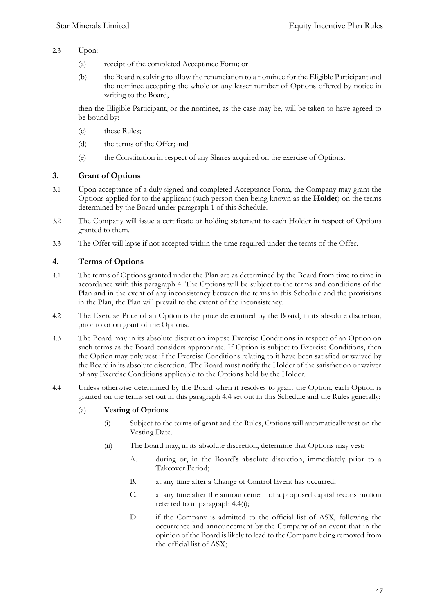- 2.3 Upon:
	- (a) receipt of the completed Acceptance Form; or
	- (b) the Board resolving to allow the renunciation to a nominee for the Eligible Participant and the nominee accepting the whole or any lesser number of Options offered by notice in writing to the Board,

then the Eligible Participant, or the nominee, as the case may be, will be taken to have agreed to be bound by:

- (c) these Rules;
- (d) the terms of the Offer; and
- (e) the Constitution in respect of any Shares acquired on the exercise of Options.

# **3. Grant of Options**

- 3.1 Upon acceptance of a duly signed and completed Acceptance Form, the Company may grant the Options applied for to the applicant (such person then being known as the **Holder**) on the terms determined by the Board under paragraph 1 of this Schedule.
- 3.2 The Company will issue a certificate or holding statement to each Holder in respect of Options granted to them.
- 3.3 The Offer will lapse if not accepted within the time required under the terms of the Offer.

# **4. Terms of Options**

- 4.1 The terms of Options granted under the Plan are as determined by the Board from time to time in accordance with this paragraph 4. The Options will be subject to the terms and conditions of the Plan and in the event of any inconsistency between the terms in this Schedule and the provisions in the Plan, the Plan will prevail to the extent of the inconsistency.
- 4.2 The Exercise Price of an Option is the price determined by the Board, in its absolute discretion, prior to or on grant of the Options.
- 4.3 The Board may in its absolute discretion impose Exercise Conditions in respect of an Option on such terms as the Board considers appropriate. If Option is subject to Exercise Conditions, then the Option may only vest if the Exercise Conditions relating to it have been satisfied or waived by the Board in its absolute discretion. The Board must notify the Holder of the satisfaction or waiver of any Exercise Conditions applicable to the Options held by the Holder.
- 4.4 Unless otherwise determined by the Board when it resolves to grant the Option, each Option is granted on the terms set out in this paragraph 4.4 set out in this Schedule and the Rules generally:

### (a) **Vesting of Options**

- (i) Subject to the terms of grant and the Rules, Options will automatically vest on the Vesting Date.
- (ii) The Board may, in its absolute discretion, determine that Options may vest:
	- A. during or, in the Board's absolute discretion, immediately prior to a Takeover Period;
	- B. at any time after a Change of Control Event has occurred;
	- C. at any time after the announcement of a proposed capital reconstruction referred to in paragraph 4.4(i);
	- D. if the Company is admitted to the official list of ASX, following the occurrence and announcement by the Company of an event that in the opinion of the Board is likely to lead to the Company being removed from the official list of ASX;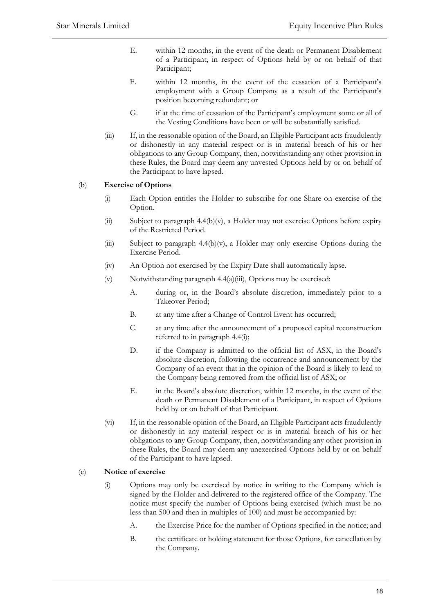- E. within 12 months, in the event of the death or Permanent Disablement of a Participant, in respect of Options held by or on behalf of that Participant;
- F. within 12 months, in the event of the cessation of a Participant's employment with a Group Company as a result of the Participant's position becoming redundant; or
- G. if at the time of cessation of the Participant's employment some or all of the Vesting Conditions have been or will be substantially satisfied.
- (iii) If, in the reasonable opinion of the Board, an Eligible Participant acts fraudulently or dishonestly in any material respect or is in material breach of his or her obligations to any Group Company, then, notwithstanding any other provision in these Rules, the Board may deem any unvested Options held by or on behalf of the Participant to have lapsed.

# (b) **Exercise of Options**

- (i) Each Option entitles the Holder to subscribe for one Share on exercise of the Option.
- (ii) Subject to paragraph 4.4(b)(v), a Holder may not exercise Options before expiry of the Restricted Period.
- (iii) Subject to paragraph  $4.4(b)(v)$ , a Holder may only exercise Options during the Exercise Period.
- (iv) An Option not exercised by the Expiry Date shall automatically lapse.
- (v) Notwithstanding paragraph 4.4(a)(iii), Options may be exercised:
	- A. during or, in the Board's absolute discretion, immediately prior to a Takeover Period;
	- B. at any time after a Change of Control Event has occurred;
	- C. at any time after the announcement of a proposed capital reconstruction referred to in paragraph 4.4(i);
	- D. if the Company is admitted to the official list of ASX, in the Board's absolute discretion, following the occurrence and announcement by the Company of an event that in the opinion of the Board is likely to lead to the Company being removed from the official list of ASX; or
	- E. in the Board's absolute discretion, within 12 months, in the event of the death or Permanent Disablement of a Participant, in respect of Options held by or on behalf of that Participant.
- (vi) If, in the reasonable opinion of the Board, an Eligible Participant acts fraudulently or dishonestly in any material respect or is in material breach of his or her obligations to any Group Company, then, notwithstanding any other provision in these Rules, the Board may deem any unexercised Options held by or on behalf of the Participant to have lapsed.

# (c) **Notice of exercise**

- (i) Options may only be exercised by notice in writing to the Company which is signed by the Holder and delivered to the registered office of the Company. The notice must specify the number of Options being exercised (which must be no less than 500 and then in multiples of 100) and must be accompanied by:
	- A. the Exercise Price for the number of Options specified in the notice; and
	- B. the certificate or holding statement for those Options, for cancellation by the Company.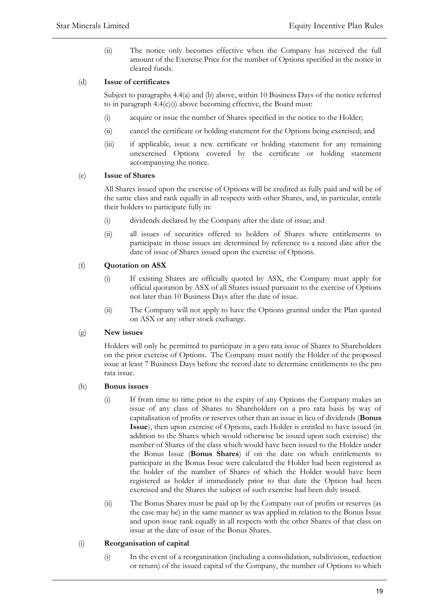(ii) The notice only becomes effective when the Company has received the full amount of the Exercise Price for the number of Options specified in the notice in cleared funds.

# (d) **Issue of certificates**

Subject to paragraphs 4.4(a) and (b) above, within 10 Business Days of the notice referred to in paragraph 4.4(c)(i) above becoming effective, the Board must:

- (i) acquire or issue the number of Shares specified in the notice to the Holder;
- (ii) cancel the certificate or holding statement for the Options being exercised; and
- (iii) if applicable, issue a new certificate or holding statement for any remaining unexercised Options covered by the certificate or holding statement accompanying the notice.

### (e) **Issue of Shares**

All Shares issued upon the exercise of Options will be credited as fully paid and will be of the same class and rank equally in all respects with other Shares, and, in particular, entitle their holders to participate fully in:

- (i) dividends declared by the Company after the date of issue; and
- (ii) all issues of securities offered to holders of Shares where entitlements to participate in those issues are determined by reference to a record date after the date of issue of Shares issued upon the exercise of Options.

# (f) **Quotation on ASX**

- (i) If existing Shares are officially quoted by ASX, the Company must apply for official quotation by ASX of all Shares issued pursuant to the exercise of Options not later than 10 Business Days after the date of issue.
- (ii) The Company will not apply to have the Options granted under the Plan quoted on ASX or any other stock exchange.

### (g) **New issues**

Holders will only be permitted to participate in a pro rata issue of Shares to Shareholders on the prior exercise of Options. The Company must notify the Holder of the proposed issue at least 7 Business Days before the record date to determine entitlements to the pro rata issue.

### (h) **Bonus issues**

- (i) If from time to time prior to the expiry of any Options the Company makes an issue of any class of Shares to Shareholders on a pro rata basis by way of capitalisation of profits or reserves other than an issue in lieu of dividends (**Bonus Issue**), then upon exercise of Options, each Holder is entitled to have issued (in addition to the Shares which would otherwise be issued upon such exercise) the number of Shares of the class which would have been issued to the Holder under the Bonus Issue (**Bonus Shares**) if on the date on which entitlements to participate in the Bonus Issue were calculated the Holder had been registered as the holder of the number of Shares of which the Holder would have been registered as holder if immediately prior to that date the Option had been exercised and the Shares the subject of such exercise had been duly issued.
- (ii) The Bonus Shares must be paid up by the Company out of profits or reserves (as the case may be) in the same manner as was applied in relation to the Bonus Issue and upon issue rank equally in all respects with the other Shares of that class on issue at the date of issue of the Bonus Shares.

### (i) **Reorganisation of capital**

(i) In the event of a reorganisation (including a consolidation, subdivision, reduction or return) of the issued capital of the Company, the number of Options to which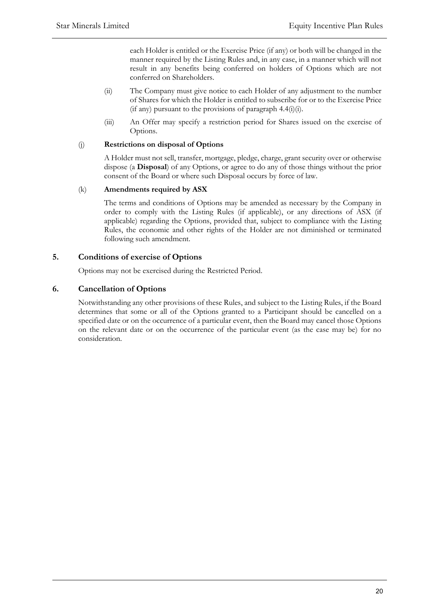each Holder is entitled or the Exercise Price (if any) or both will be changed in the manner required by the Listing Rules and, in any case, in a manner which will not result in any benefits being conferred on holders of Options which are not conferred on Shareholders.

- (ii) The Company must give notice to each Holder of any adjustment to the number of Shares for which the Holder is entitled to subscribe for or to the Exercise Price  $(i$ f any) pursuant to the provisions of paragraph 4.4 $(i)$  $(i)$ .
- (iii) An Offer may specify a restriction period for Shares issued on the exercise of Options.

### (j) **Restrictions on disposal of Options**

A Holder must not sell, transfer, mortgage, pledge, charge, grant security over or otherwise dispose (a **Disposal**) of any Options, or agree to do any of those things without the prior consent of the Board or where such Disposal occurs by force of law.

# (k) **Amendments required by ASX**

The terms and conditions of Options may be amended as necessary by the Company in order to comply with the Listing Rules (if applicable), or any directions of ASX (if applicable) regarding the Options, provided that, subject to compliance with the Listing Rules, the economic and other rights of the Holder are not diminished or terminated following such amendment.

# **5. Conditions of exercise of Options**

Options may not be exercised during the Restricted Period.

# **6. Cancellation of Options**

Notwithstanding any other provisions of these Rules, and subject to the Listing Rules, if the Board determines that some or all of the Options granted to a Participant should be cancelled on a specified date or on the occurrence of a particular event, then the Board may cancel those Options on the relevant date or on the occurrence of the particular event (as the case may be) for no consideration.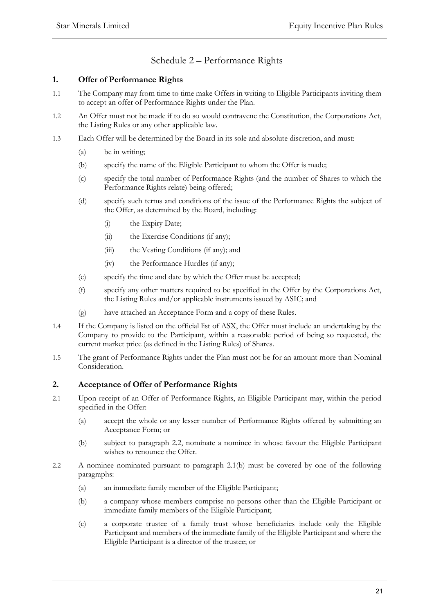# Schedule 2 – Performance Rights

# **1. Offer of Performance Rights**

- 1.1 The Company may from time to time make Offers in writing to Eligible Participants inviting them to accept an offer of Performance Rights under the Plan.
- 1.2 An Offer must not be made if to do so would contravene the Constitution, the Corporations Act, the Listing Rules or any other applicable law.
- 1.3 Each Offer will be determined by the Board in its sole and absolute discretion, and must:
	- (a) be in writing;
	- (b) specify the name of the Eligible Participant to whom the Offer is made;
	- (c) specify the total number of Performance Rights (and the number of Shares to which the Performance Rights relate) being offered;
	- (d) specify such terms and conditions of the issue of the Performance Rights the subject of the Offer, as determined by the Board, including:
		- (i) the Expiry Date;
		- (ii) the Exercise Conditions (if any);
		- (iii) the Vesting Conditions (if any); and
		- (iv) the Performance Hurdles (if any);
	- (e) specify the time and date by which the Offer must be accepted;
	- (f) specify any other matters required to be specified in the Offer by the Corporations Act, the Listing Rules and/or applicable instruments issued by ASIC; and
	- (g) have attached an Acceptance Form and a copy of these Rules.
- 1.4 If the Company is listed on the official list of ASX, the Offer must include an undertaking by the Company to provide to the Participant, within a reasonable period of being so requested, the current market price (as defined in the Listing Rules) of Shares.
- 1.5 The grant of Performance Rights under the Plan must not be for an amount more than Nominal Consideration.

# **2. Acceptance of Offer of Performance Rights**

- 2.1 Upon receipt of an Offer of Performance Rights, an Eligible Participant may, within the period specified in the Offer:
	- (a) accept the whole or any lesser number of Performance Rights offered by submitting an Acceptance Form; or
	- (b) subject to paragraph 2.2, nominate a nominee in whose favour the Eligible Participant wishes to renounce the Offer.
- 2.2 A nominee nominated pursuant to paragraph 2.1(b) must be covered by one of the following paragraphs:
	- (a) an immediate family member of the Eligible Participant;
	- (b) a company whose members comprise no persons other than the Eligible Participant or immediate family members of the Eligible Participant;
	- (c) a corporate trustee of a family trust whose beneficiaries include only the Eligible Participant and members of the immediate family of the Eligible Participant and where the Eligible Participant is a director of the trustee; or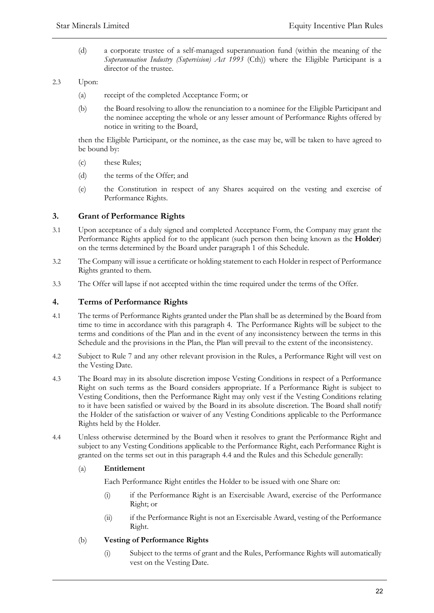(d) a corporate trustee of a self-managed superannuation fund (within the meaning of the *Superannuation Industry (Supervision) Act 1993* (Cth)) where the Eligible Participant is a director of the trustee.

### 2.3 Upon:

- (a) receipt of the completed Acceptance Form; or
- (b) the Board resolving to allow the renunciation to a nominee for the Eligible Participant and the nominee accepting the whole or any lesser amount of Performance Rights offered by notice in writing to the Board,

then the Eligible Participant, or the nominee, as the case may be, will be taken to have agreed to be bound by:

- (c) these Rules;
- (d) the terms of the Offer; and
- (e) the Constitution in respect of any Shares acquired on the vesting and exercise of Performance Rights.

# **3. Grant of Performance Rights**

- 3.1 Upon acceptance of a duly signed and completed Acceptance Form, the Company may grant the Performance Rights applied for to the applicant (such person then being known as the **Holder**) on the terms determined by the Board under paragraph 1 of this Schedule.
- 3.2 The Company will issue a certificate or holding statement to each Holder in respect of Performance Rights granted to them.
- 3.3 The Offer will lapse if not accepted within the time required under the terms of the Offer.

# **4. Terms of Performance Rights**

- 4.1 The terms of Performance Rights granted under the Plan shall be as determined by the Board from time to time in accordance with this paragraph 4. The Performance Rights will be subject to the terms and conditions of the Plan and in the event of any inconsistency between the terms in this Schedule and the provisions in the Plan, the Plan will prevail to the extent of the inconsistency.
- 4.2 Subject to Rule 7 and any other relevant provision in the Rules, a Performance Right will vest on the Vesting Date.
- 4.3 The Board may in its absolute discretion impose Vesting Conditions in respect of a Performance Right on such terms as the Board considers appropriate. If a Performance Right is subject to Vesting Conditions, then the Performance Right may only vest if the Vesting Conditions relating to it have been satisfied or waived by the Board in its absolute discretion. The Board shall notify the Holder of the satisfaction or waiver of any Vesting Conditions applicable to the Performance Rights held by the Holder.
- 4.4 Unless otherwise determined by the Board when it resolves to grant the Performance Right and subject to any Vesting Conditions applicable to the Performance Right, each Performance Right is granted on the terms set out in this paragraph 4.4 and the Rules and this Schedule generally:

### (a) **Entitlement**

Each Performance Right entitles the Holder to be issued with one Share on:

- (i) if the Performance Right is an Exercisable Award, exercise of the Performance Right; or
- (ii) if the Performance Right is not an Exercisable Award, vesting of the Performance Right.

### (b) **Vesting of Performance Rights**

(i) Subject to the terms of grant and the Rules, Performance Rights will automatically vest on the Vesting Date.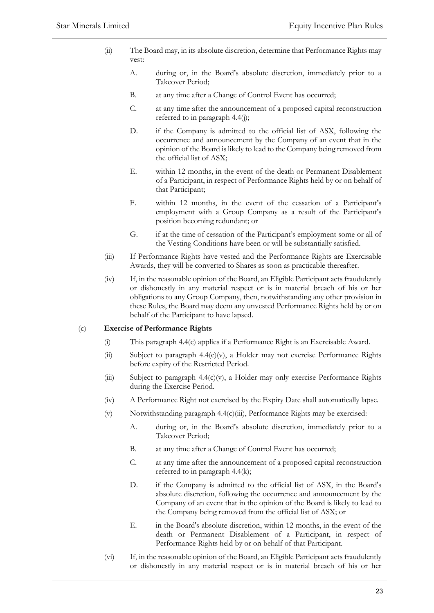- (ii) The Board may, in its absolute discretion, determine that Performance Rights may vest:
	- A. during or, in the Board's absolute discretion, immediately prior to a Takeover Period;
	- B. at any time after a Change of Control Event has occurred;
	- C. at any time after the announcement of a proposed capital reconstruction referred to in paragraph 4.4(j);
	- D. if the Company is admitted to the official list of ASX, following the occurrence and announcement by the Company of an event that in the opinion of the Board is likely to lead to the Company being removed from the official list of ASX;
	- E. within 12 months, in the event of the death or Permanent Disablement of a Participant, in respect of Performance Rights held by or on behalf of that Participant;
	- F. within 12 months, in the event of the cessation of a Participant's employment with a Group Company as a result of the Participant's position becoming redundant; or
	- G. if at the time of cessation of the Participant's employment some or all of the Vesting Conditions have been or will be substantially satisfied.
- (iii) If Performance Rights have vested and the Performance Rights are Exercisable Awards, they will be converted to Shares as soon as practicable thereafter.
- (iv) If, in the reasonable opinion of the Board, an Eligible Participant acts fraudulently or dishonestly in any material respect or is in material breach of his or her obligations to any Group Company, then, notwithstanding any other provision in these Rules, the Board may deem any unvested Performance Rights held by or on behalf of the Participant to have lapsed.

# (c) **Exercise of Performance Rights**

- (i) This paragraph 4.4(c) applies if a Performance Right is an Exercisable Award.
- (ii) Subject to paragraph  $4.4(c)(v)$ , a Holder may not exercise Performance Rights before expiry of the Restricted Period.
- (iii) Subject to paragraph 4.4(c)(v), a Holder may only exercise Performance Rights during the Exercise Period.
- (iv) A Performance Right not exercised by the Expiry Date shall automatically lapse.
- (v) Notwithstanding paragraph 4.4(c)(iii), Performance Rights may be exercised:
	- A. during or, in the Board's absolute discretion, immediately prior to a Takeover Period;
	- B. at any time after a Change of Control Event has occurred;
	- C. at any time after the announcement of a proposed capital reconstruction referred to in paragraph 4.4(k);
	- D. if the Company is admitted to the official list of ASX, in the Board's absolute discretion, following the occurrence and announcement by the Company of an event that in the opinion of the Board is likely to lead to the Company being removed from the official list of ASX; or
	- E. in the Board's absolute discretion, within 12 months, in the event of the death or Permanent Disablement of a Participant, in respect of Performance Rights held by or on behalf of that Participant.
- (vi) If, in the reasonable opinion of the Board, an Eligible Participant acts fraudulently or dishonestly in any material respect or is in material breach of his or her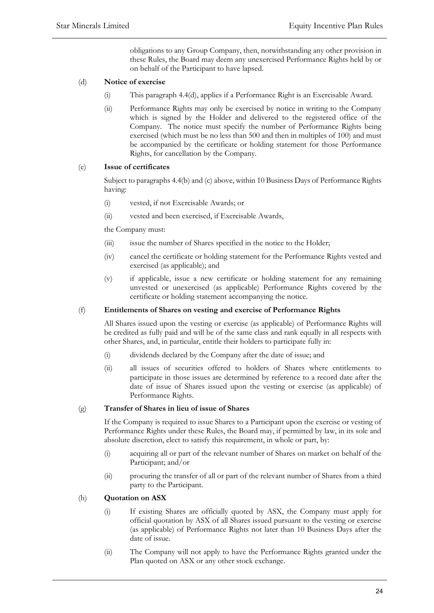obligations to any Group Company, then, notwithstanding any other provision in these Rules, the Board may deem any unexercised Performance Rights held by or on behalf of the Participant to have lapsed.

# (d) **Notice of exercise**

- (i) This paragraph 4.4(d), applies if a Performance Right is an Exercisable Award.
- (ii) Performance Rights may only be exercised by notice in writing to the Company which is signed by the Holder and delivered to the registered office of the Company. The notice must specify the number of Performance Rights being exercised (which must be no less than 500 and then in multiples of 100) and must be accompanied by the certificate or holding statement for those Performance Rights, for cancellation by the Company.

### (e) **Issue of certificates**

Subject to paragraphs 4.4(b) and (c) above, within 10 Business Days of Performance Rights having:

- (i) vested, if not Exercisable Awards; or
- (ii) vested and been exercised, if Exercisable Awards,

the Company must:

- (iii) issue the number of Shares specified in the notice to the Holder;
- (iv) cancel the certificate or holding statement for the Performance Rights vested and exercised (as applicable); and
- (v) if applicable, issue a new certificate or holding statement for any remaining unvested or unexercised (as applicable) Performance Rights covered by the certificate or holding statement accompanying the notice.

### (f) **Entitlements of Shares on vesting and exercise of Performance Rights**

All Shares issued upon the vesting or exercise (as applicable) of Performance Rights will be credited as fully paid and will be of the same class and rank equally in all respects with other Shares, and, in particular, entitle their holders to participate fully in:

- (i) dividends declared by the Company after the date of issue; and
- (ii) all issues of securities offered to holders of Shares where entitlements to participate in those issues are determined by reference to a record date after the date of issue of Shares issued upon the vesting or exercise (as applicable) of Performance Rights.

### (g) **Transfer of Shares in lieu of issue of Shares**

If the Company is required to issue Shares to a Participant upon the exercise or vesting of Performance Rights under these Rules, the Board may, if permitted by law, in its sole and absolute discretion, elect to satisfy this requirement, in whole or part, by:

- (i) acquiring all or part of the relevant number of Shares on market on behalf of the Participant; and/or
- (ii) procuring the transfer of all or part of the relevant number of Shares from a third party to the Participant.

### (h) **Quotation on ASX**

- (i) If existing Shares are officially quoted by ASX, the Company must apply for official quotation by ASX of all Shares issued pursuant to the vesting or exercise (as applicable) of Performance Rights not later than 10 Business Days after the date of issue.
- (ii) The Company will not apply to have the Performance Rights granted under the Plan quoted on ASX or any other stock exchange.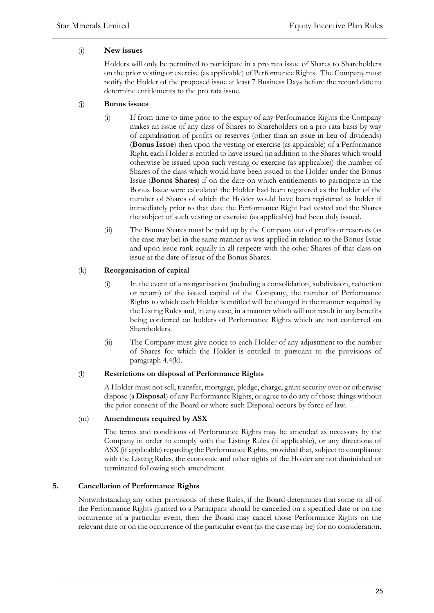# (i) **New issues**

Holders will only be permitted to participate in a pro rata issue of Shares to Shareholders on the prior vesting or exercise (as applicable) of Performance Rights. The Company must notify the Holder of the proposed issue at least 7 Business Days before the record date to determine entitlements to the pro rata issue.

### (j) **Bonus issues**

- (i) If from time to time prior to the expiry of any Performance Rights the Company makes an issue of any class of Shares to Shareholders on a pro rata basis by way of capitalisation of profits or reserves (other than an issue in lieu of dividends) (**Bonus Issue**) then upon the vesting or exercise (as applicable) of a Performance Right, each Holder is entitled to have issued (in addition to the Shares which would otherwise be issued upon such vesting or exercise (as applicable)) the number of Shares of the class which would have been issued to the Holder under the Bonus Issue (**Bonus Shares**) if on the date on which entitlements to participate in the Bonus Issue were calculated the Holder had been registered as the holder of the number of Shares of which the Holder would have been registered as holder if immediately prior to that date the Performance Right had vested and the Shares the subject of such vesting or exercise (as applicable) had been duly issued.
- (ii) The Bonus Shares must be paid up by the Company out of profits or reserves (as the case may be) in the same manner as was applied in relation to the Bonus Issue and upon issue rank equally in all respects with the other Shares of that class on issue at the date of issue of the Bonus Shares.

# (k) **Reorganisation of capital**

- (i) In the event of a reorganisation (including a consolidation, subdivision, reduction or return) of the issued capital of the Company, the number of Performance Rights to which each Holder is entitled will be changed in the manner required by the Listing Rules and, in any case, in a manner which will not result in any benefits being conferred on holders of Performance Rights which are not conferred on Shareholders.
- (ii) The Company must give notice to each Holder of any adjustment to the number of Shares for which the Holder is entitled to pursuant to the provisions of paragraph 4.4(k).

### (l) **Restrictions on disposal of Performance Rights**

A Holder must not sell, transfer, mortgage, pledge, charge, grant security over or otherwise dispose (a **Disposal**) of any Performance Rights, or agree to do any of those things without the prior consent of the Board or where such Disposal occurs by force of law.

### (m) **Amendments required by ASX**

The terms and conditions of Performance Rights may be amended as necessary by the Company in order to comply with the Listing Rules (if applicable), or any directions of ASX (if applicable) regarding the Performance Rights, provided that, subject to compliance with the Listing Rules, the economic and other rights of the Holder are not diminished or terminated following such amendment.

### **5. Cancellation of Performance Rights**

Notwithstanding any other provisions of these Rules, if the Board determines that some or all of the Performance Rights granted to a Participant should be cancelled on a specified date or on the occurrence of a particular event, then the Board may cancel those Performance Rights on the relevant date or on the occurrence of the particular event (as the case may be) for no consideration.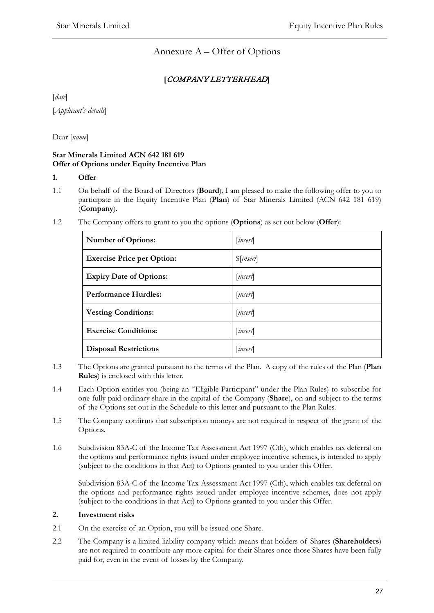Annexure A – Offer of Options

# **[**COMPANY LETTERHEAD**]**

[*date*]

[*Applicant's details*]

Dear [*name*]

# **Star Minerals Limited ACN 642 181 619 Offer of Options under Equity Incentive Plan**

# **1. Offer**

- 1.1 On behalf of the Board of Directors (**Board**), I am pleased to make the following offer to you to participate in the Equity Incentive Plan (**Plan**) of Star Minerals Limited (ACN 642 181 619) (**Company**).
- 1.2 The Company offers to grant to you the options (**Options**) as set out below (**Offer**):

| <b>Number of Options:</b>         | insert                            |
|-----------------------------------|-----------------------------------|
| <b>Exercise Price per Option:</b> | $\sin \left( \frac{1}{2} \right)$ |
| <b>Expiry Date of Options:</b>    | [insert]                          |
| <b>Performance Hurdles:</b>       | [insert]                          |
| <b>Vesting Conditions:</b>        | [insert]                          |
| <b>Exercise Conditions:</b>       | [insert]                          |
| <b>Disposal Restrictions</b>      | [insert]                          |

- 1.3 The Options are granted pursuant to the terms of the Plan. A copy of the rules of the Plan (**Plan Rules**) is enclosed with this letter.
- 1.4 Each Option entitles you (being an "Eligible Participant" under the Plan Rules) to subscribe for one fully paid ordinary share in the capital of the Company (**Share**), on and subject to the terms of the Options set out in the Schedule to this letter and pursuant to the Plan Rules.
- 1.5 The Company confirms that subscription moneys are not required in respect of the grant of the Options.
- 1.6 Subdivision 83A-C of the Income Tax Assessment Act 1997 (Cth), which enables tax deferral on the options and performance rights issued under employee incentive schemes, is intended to apply (subject to the conditions in that Act) to Options granted to you under this Offer.

Subdivision 83A-C of the Income Tax Assessment Act 1997 (Cth), which enables tax deferral on the options and performance rights issued under employee incentive schemes, does not apply (subject to the conditions in that Act) to Options granted to you under this Offer.

# **2. Investment risks**

- 2.1 On the exercise of an Option, you will be issued one Share.
- 2.2 The Company is a limited liability company which means that holders of Shares (**Shareholders**) are not required to contribute any more capital for their Shares once those Shares have been fully paid for, even in the event of losses by the Company.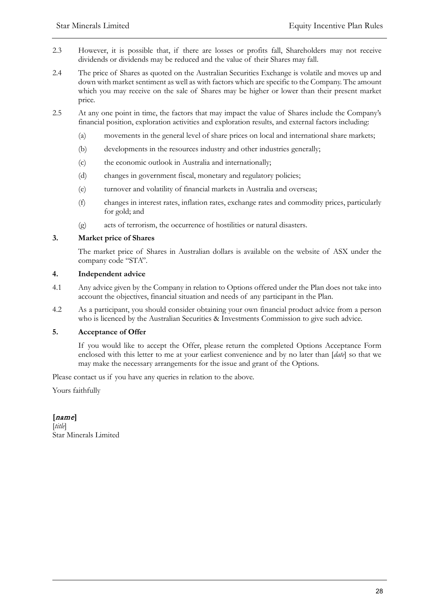- 2.3 However, it is possible that, if there are losses or profits fall, Shareholders may not receive dividends or dividends may be reduced and the value of their Shares may fall.
- 2.4 The price of Shares as quoted on the Australian Securities Exchange is volatile and moves up and down with market sentiment as well as with factors which are specific to the Company. The amount which you may receive on the sale of Shares may be higher or lower than their present market price.
- 2.5 At any one point in time, the factors that may impact the value of Shares include the Company's financial position, exploration activities and exploration results, and external factors including:
	- (a) movements in the general level of share prices on local and international share markets;
	- (b) developments in the resources industry and other industries generally;
	- (c) the economic outlook in Australia and internationally;
	- (d) changes in government fiscal, monetary and regulatory policies;
	- (e) turnover and volatility of financial markets in Australia and overseas;
	- (f) changes in interest rates, inflation rates, exchange rates and commodity prices, particularly for gold; and
	- (g) acts of terrorism, the occurrence of hostilities or natural disasters.

# **3. Market price of Shares**

The market price of Shares in Australian dollars is available on the website of ASX under the company code "STA".

### **4. Independent advice**

- 4.1 Any advice given by the Company in relation to Options offered under the Plan does not take into account the objectives, financial situation and needs of any participant in the Plan.
- 4.2 As a participant, you should consider obtaining your own financial product advice from a person who is licenced by the Australian Securities & Investments Commission to give such advice.

### **5. Acceptance of Offer**

If you would like to accept the Offer, please return the completed Options Acceptance Form enclosed with this letter to me at your earliest convenience and by no later than [*date*] so that we may make the necessary arrangements for the issue and grant of the Options.

Please contact us if you have any queries in relation to the above.

Yours faithfully

# **[**name**]**

[*title*] Star Minerals Limited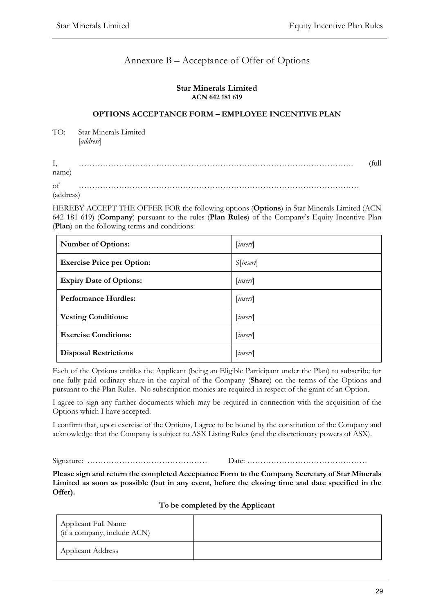# Annexure B – Acceptance of Offer of Options

### **Star Minerals Limited ACN 642 181 619**

# **OPTIONS ACCEPTANCE FORM – EMPLOYEE INCENTIVE PLAN**

TO: Star Minerals Limited [*address*]

| Ι,        | 'full |
|-----------|-------|
| name)     |       |
| of        |       |
| (address) |       |

HEREBY ACCEPT THE OFFER FOR the following options (**Options**) in Star Minerals Limited (ACN 642 181 619) (**Company**) pursuant to the rules (**Plan Rules**) of the Company's Equity Incentive Plan (**Plan**) on the following terms and conditions:

| <b>Number of Options:</b>         | insert                |
|-----------------------------------|-----------------------|
| <b>Exercise Price per Option:</b> | $\mathcal{S}[insert]$ |
| <b>Expiry Date of Options:</b>    | insert                |
| <b>Performance Hurdles:</b>       | [insert]              |
| <b>Vesting Conditions:</b>        | [insert]              |
| <b>Exercise Conditions:</b>       | <i>insert</i>         |
| <b>Disposal Restrictions</b>      | insert                |

Each of the Options entitles the Applicant (being an Eligible Participant under the Plan) to subscribe for one fully paid ordinary share in the capital of the Company (**Share**) on the terms of the Options and pursuant to the Plan Rules. No subscription monies are required in respect of the grant of an Option.

I agree to sign any further documents which may be required in connection with the acquisition of the Options which I have accepted.

I confirm that, upon exercise of the Options, I agree to be bound by the constitution of the Company and acknowledge that the Company is subject to ASX Listing Rules (and the discretionary powers of ASX).

Signature: ……………………………………… Date: ………………………………………

**Please sign and return the completed Acceptance Form to the Company Secretary of Star Minerals Limited as soon as possible (but in any event, before the closing time and date specified in the Offer).** 

|  |  |  |  | To be completed by the Applicant |
|--|--|--|--|----------------------------------|
|--|--|--|--|----------------------------------|

| Applicant Full Name<br>(if a company, include ACN) |  |
|----------------------------------------------------|--|
| <b>Applicant Address</b>                           |  |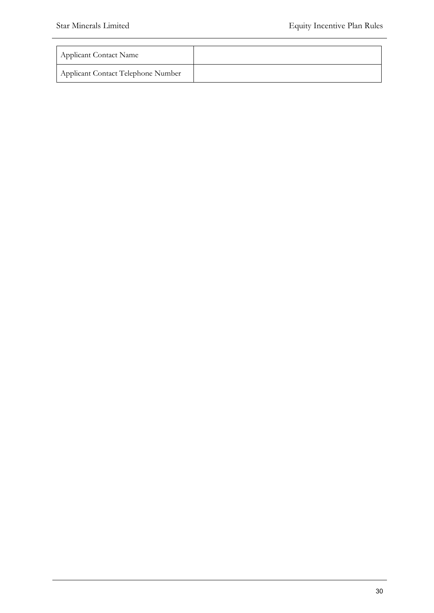| <b>Applicant Contact Name</b>      |  |
|------------------------------------|--|
| Applicant Contact Telephone Number |  |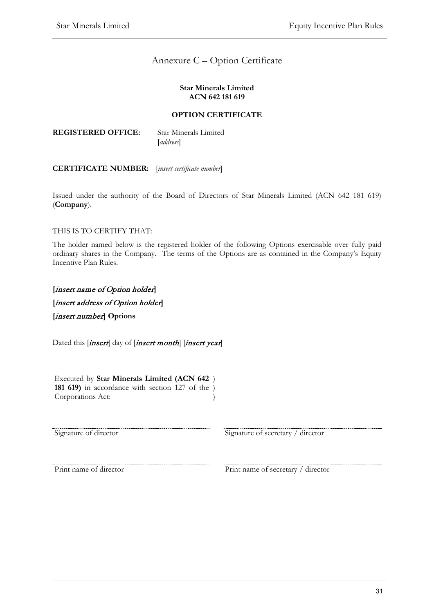# Annexure C – Option Certificate

#### **Star Minerals Limited ACN 642 181 619**

# **OPTION CERTIFICATE**

| <b>REGISTERED OFFICE:</b> | <b>Star Minerals Limited</b> |
|---------------------------|------------------------------|
|                           | [address]                    |

# **CERTIFICATE NUMBER:** [*insert certificate number*]

Issued under the authority of the Board of Directors of Star Minerals Limited (ACN 642 181 619) (**Company**).

# THIS IS TO CERTIFY THAT:

The holder named below is the registered holder of the following Options exercisable over fully paid ordinary shares in the Company. The terms of the Options are as contained in the Company's Equity Incentive Plan Rules.

**[**insert name of Option holder**] [**insert address of Option holder**] [**insert number**] Options**

Dated this *[insert*] day of *[insert month] [insert year]* 

Executed by **Star Minerals Limited (ACN 642**  ) **181 619)** in accordance with section 127 of the ) Corporations Act: )

Signature of director Signature of secretary / director

Print name of director Print name of secretary / director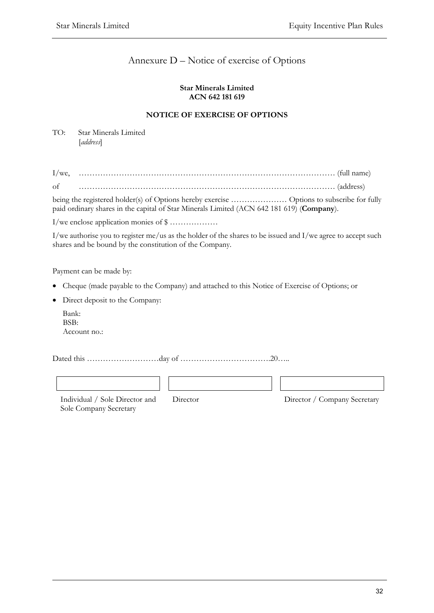# Annexure D – Notice of exercise of Options

### **Star Minerals Limited ACN 642 181 619**

# **NOTICE OF EXERCISE OF OPTIONS**

TO: Star Minerals Limited [*address*]

| $I/we$ . |  |  |
|----------|--|--|
| Ωt       |  |  |

being the registered holder(s) of Options hereby exercise ………………… Options to subscribe for fully paid ordinary shares in the capital of Star Minerals Limited (ACN 642 181 619) (**Company**).

I/we enclose application monies of \$ ………………

I/we authorise you to register me/us as the holder of the shares to be issued and I/we agree to accept such shares and be bound by the constitution of the Company.

Payment can be made by:

- Cheque (made payable to the Company) and attached to this Notice of Exercise of Options; or
- Direct deposit to the Company:
	- Bank: BSB: Account no.:

Dated this ………………………day of …………………………….20…..

Individual / Sole Director and Sole Company Secretary

Director Director / Company Secretary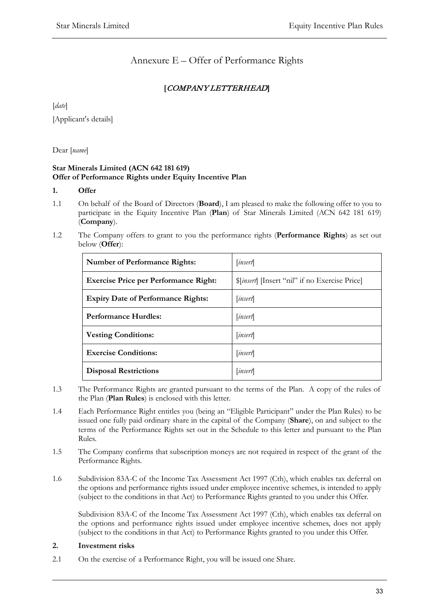# Annexure E – Offer of Performance Rights

# **[**COMPANY LETTERHEAD**]**

[*date*] [Applicant's details]

Dear [*name*]

# **Star Minerals Limited (ACN 642 181 619) Offer of Performance Rights under Equity Incentive Plan**

# **1. Offer**

- 1.1 On behalf of the Board of Directors (**Board**), I am pleased to make the following offer to you to participate in the Equity Incentive Plan (**Plan**) of Star Minerals Limited (ACN 642 181 619) (**Company**).
- 1.2 The Company offers to grant to you the performance rights (**Performance Rights**) as set out below (**Offer**):

| <b>Number of Performance Rights:</b>         | <i>insert</i>                                         |  |
|----------------------------------------------|-------------------------------------------------------|--|
| <b>Exercise Price per Performance Right:</b> | <i>S[insert</i> ] [Insert "nil" if no Exercise Price] |  |
| <b>Expiry Date of Performance Rights:</b>    | <i>insert</i>                                         |  |
| <b>Performance Hurdles:</b>                  | <i>insert</i>                                         |  |
| <b>Vesting Conditions:</b>                   | <i>insert</i>                                         |  |
| <b>Exercise Conditions:</b>                  | <i>insert</i>                                         |  |
| <b>Disposal Restrictions</b>                 | <i>insert</i>                                         |  |

- 1.3 The Performance Rights are granted pursuant to the terms of the Plan. A copy of the rules of the Plan (**Plan Rules**) is enclosed with this letter.
- 1.4 Each Performance Right entitles you (being an "Eligible Participant" under the Plan Rules) to be issued one fully paid ordinary share in the capital of the Company (**Share**), on and subject to the terms of the Performance Rights set out in the Schedule to this letter and pursuant to the Plan Rules.
- 1.5 The Company confirms that subscription moneys are not required in respect of the grant of the Performance Rights.
- 1.6 Subdivision 83A-C of the Income Tax Assessment Act 1997 (Cth), which enables tax deferral on the options and performance rights issued under employee incentive schemes, is intended to apply (subject to the conditions in that Act) to Performance Rights granted to you under this Offer.

Subdivision 83A-C of the Income Tax Assessment Act 1997 (Cth), which enables tax deferral on the options and performance rights issued under employee incentive schemes, does not apply (subject to the conditions in that Act) to Performance Rights granted to you under this Offer.

### **2. Investment risks**

2.1 On the exercise of a Performance Right, you will be issued one Share.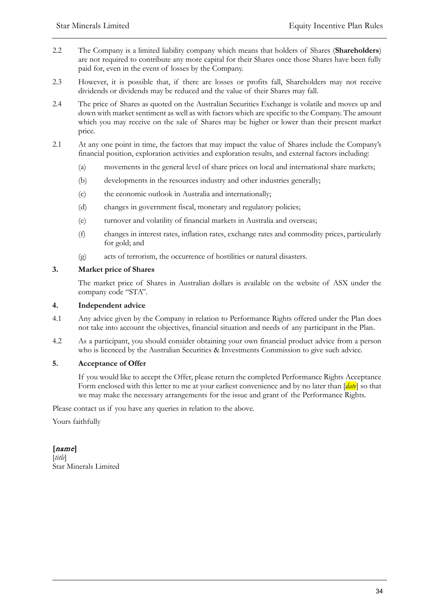- 2.2 The Company is a limited liability company which means that holders of Shares (**Shareholders**) are not required to contribute any more capital for their Shares once those Shares have been fully paid for, even in the event of losses by the Company.
- 2.3 However, it is possible that, if there are losses or profits fall, Shareholders may not receive dividends or dividends may be reduced and the value of their Shares may fall.
- 2.4 The price of Shares as quoted on the Australian Securities Exchange is volatile and moves up and down with market sentiment as well as with factors which are specific to the Company. The amount which you may receive on the sale of Shares may be higher or lower than their present market price.
- 2.1 At any one point in time, the factors that may impact the value of Shares include the Company's financial position, exploration activities and exploration results, and external factors including:
	- (a) movements in the general level of share prices on local and international share markets;
	- (b) developments in the resources industry and other industries generally;
	- (c) the economic outlook in Australia and internationally;
	- (d) changes in government fiscal, monetary and regulatory policies;
	- (e) turnover and volatility of financial markets in Australia and overseas;
	- (f) changes in interest rates, inflation rates, exchange rates and commodity prices, particularly for gold; and
	- (g) acts of terrorism, the occurrence of hostilities or natural disasters.

# **3. Market price of Shares**

The market price of Shares in Australian dollars is available on the website of ASX under the company code "STA".

### **4. Independent advice**

- 4.1 Any advice given by the Company in relation to Performance Rights offered under the Plan does not take into account the objectives, financial situation and needs of any participant in the Plan.
- 4.2 As a participant, you should consider obtaining your own financial product advice from a person who is licenced by the Australian Securities & Investments Commission to give such advice.

# **5. Acceptance of Offer**

If you would like to accept the Offer, please return the completed Performance Rights Acceptance Form enclosed with this letter to me at your earliest convenience and by no later than [*date*] so that we may make the necessary arrangements for the issue and grant of the Performance Rights.

Please contact us if you have any queries in relation to the above.

Yours faithfully

**[**name**]** [*title*] Star Minerals Limited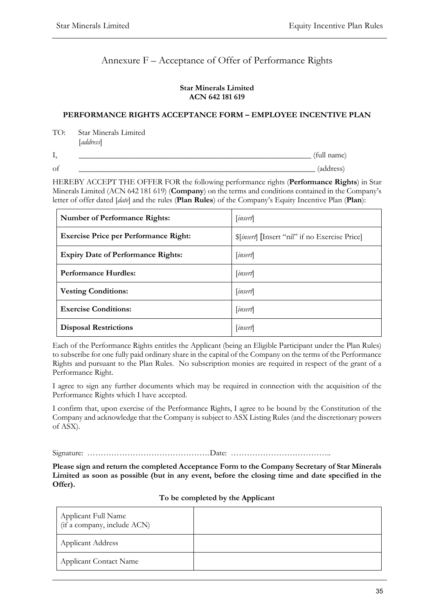# Annexure F – Acceptance of Offer of Performance Rights

### **Star Minerals Limited ACN 642 181 619**

### **PERFORMANCE RIGHTS ACCEPTANCE FORM – EMPLOYEE INCENTIVE PLAN**

TO: Star Minerals Limited [*address*]

I, equal to the contract of the contract of the contract of the contract of the contract of the contract of the contract of the contract of the contract of the contract of the contract of the contract of the contract of th of \_\_\_\_\_\_\_\_\_\_\_\_\_\_\_\_\_\_\_\_\_\_\_\_\_\_\_\_\_\_\_\_\_\_\_\_\_\_\_\_\_\_\_\_\_\_\_\_\_\_\_\_\_\_\_\_\_\_\_ (address)

HEREBY ACCEPT THE OFFER FOR the following performance rights (**Performance Rights**) in Star Minerals Limited (ACN 642 181 619) (**Company**) on the terms and conditions contained in the Company's letter of offer dated [*date*] and the rules (**Plan Rules**) of the Company's Equity Incentive Plan (**Plan**):

| <b>Number of Performance Rights:</b>         | insert                                         |
|----------------------------------------------|------------------------------------------------|
| <b>Exercise Price per Performance Right:</b> | \$[insert] [Insert "nil" if no Exercise Price] |
| <b>Expiry Date of Performance Rights:</b>    | <i>insert</i>                                  |
| <b>Performance Hurdles:</b>                  | <i>insert</i>                                  |
| <b>Vesting Conditions:</b>                   | <i>insert</i>                                  |
| <b>Exercise Conditions:</b>                  | <i>insert</i>                                  |
| <b>Disposal Restrictions</b>                 | insert                                         |

Each of the Performance Rights entitles the Applicant (being an Eligible Participant under the Plan Rules) to subscribe for one fully paid ordinary share in the capital of the Company on the terms of the Performance Rights and pursuant to the Plan Rules. No subscription monies are required in respect of the grant of a Performance Right.

I agree to sign any further documents which may be required in connection with the acquisition of the Performance Rights which I have accepted.

I confirm that, upon exercise of the Performance Rights, I agree to be bound by the Constitution of the Company and acknowledge that the Company is subject to ASX Listing Rules (and the discretionary powers of ASX).

Signature: ……………………………………….Date: ………………………………..

**Please sign and return the completed Acceptance Form to the Company Secretary of Star Minerals Limited as soon as possible (but in any event, before the closing time and date specified in the Offer).** 

|  | To be completed by the Applicant |  |
|--|----------------------------------|--|
|--|----------------------------------|--|

| Applicant Full Name<br>(if a company, include ACN) |  |
|----------------------------------------------------|--|
| <b>Applicant Address</b>                           |  |
| <b>Applicant Contact Name</b>                      |  |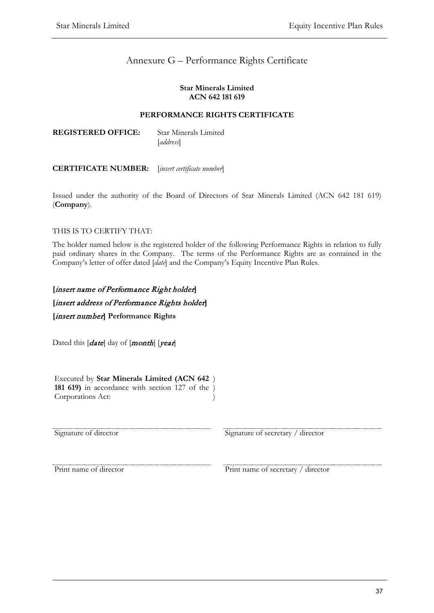# Annexure G – Performance Rights Certificate

### **Star Minerals Limited ACN 642 181 619**

# **PERFORMANCE RIGHTS CERTIFICATE**

**REGISTERED OFFICE:** Star Minerals Limited [*address*]

# **CERTIFICATE NUMBER:** [*insert certificate number*]

Issued under the authority of the Board of Directors of Star Minerals Limited (ACN 642 181 619) (**Company**).

# THIS IS TO CERTIFY THAT:

The holder named below is the registered holder of the following Performance Rights in relation to fully paid ordinary shares in the Company. The terms of the Performance Rights are as contained in the Company's letter of offer dated [*date*] and the Company's Equity Incentive Plan Rules.

**[**insert name of Performance Right holder**] [**insert address of Performance Rights holder**] [**insert number**] Performance Rights**

Dated this [*date*] day of [*month*] [*year*]

Executed by **Star Minerals Limited (ACN 642**  ) **181 619)** in accordance with section 127 of the ) Corporations Act: )

Signature of director Signature of secretary / director

Print name of director Print name of secretary / director